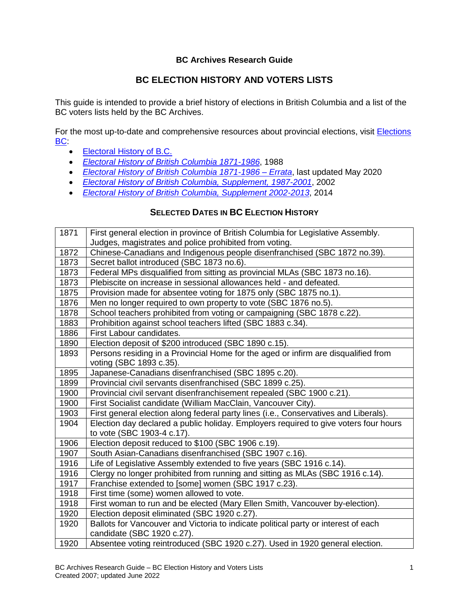#### **BC Archives Research Guide**

#### **BC ELECTION HISTORY AND VOTERS LISTS**

This guide is intended to provide a brief history of elections in British Columbia and a list of the BC voters lists held by the BC Archives.

For the most up-to-date and comprehensive resources about provincial elections, visit [Elections](https://elections.bc.ca/)  [BC:](https://elections.bc.ca/)

- [Electoral History of B.C.](https://elections.bc.ca/voting/outreach-and-education/electoral-history-of-bc/)
- *[Electoral History of British Columbia 1871-1986](https://elections.bc.ca/docs/rpt/1871-1986_ElectoralHistoryofBC.pdf)*, 1988
- *[Electoral History of British Columbia 1871-1986 –](https://elections.bc.ca/docs/rpt/ElectoralHistoryofBritishColumbia1871-1986Errata.pdf) Errata*, last updated May 2020
- *[Electoral History of British Columbia, Supplement, 1987-2001](https://elections.bc.ca/docs/rpt/1987-2001-ElectionHistory.pdf)*, 2002
- *[Electoral History of British Columbia, Supplement 2002-2013](https://elections.bc.ca/docs/rpt/2002-2013-ElectionHistory.pdf)*, 2014

#### **SELECTED DATES IN BC ELECTION HISTORY**

| 1871 | First general election in province of British Columbia for Legislative Assembly.     |  |  |
|------|--------------------------------------------------------------------------------------|--|--|
|      | Judges, magistrates and police prohibited from voting.                               |  |  |
| 1872 | Chinese-Canadians and Indigenous people disenfranchised (SBC 1872 no.39).            |  |  |
| 1873 | Secret ballot introduced (SBC 1873 no.6).                                            |  |  |
| 1873 | Federal MPs disqualified from sitting as provincial MLAs (SBC 1873 no.16).           |  |  |
|      |                                                                                      |  |  |
| 1873 | Plebiscite on increase in sessional allowances held - and defeated.                  |  |  |
| 1875 | Provision made for absentee voting for 1875 only (SBC 1875 no.1).                    |  |  |
| 1876 | Men no longer required to own property to vote (SBC 1876 no.5).                      |  |  |
| 1878 | School teachers prohibited from voting or campaigning (SBC 1878 c.22).               |  |  |
| 1883 | Prohibition against school teachers lifted (SBC 1883 c.34).                          |  |  |
| 1886 | First Labour candidates.                                                             |  |  |
| 1890 | Election deposit of \$200 introduced (SBC 1890 c.15).                                |  |  |
| 1893 | Persons residing in a Provincial Home for the aged or infirm are disqualified from   |  |  |
|      | voting (SBC 1893 c.35).                                                              |  |  |
| 1895 | Japanese-Canadians disenfranchised (SBC 1895 c.20).                                  |  |  |
| 1899 | Provincial civil servants disenfranchised (SBC 1899 c.25).                           |  |  |
| 1900 | Provincial civil servant disenfranchisement repealed (SBC 1900 c.21).                |  |  |
| 1900 | First Socialist candidate (William MacClain, Vancouver City).                        |  |  |
| 1903 | First general election along federal party lines (i.e., Conservatives and Liberals). |  |  |
| 1904 | Election day declared a public holiday. Employers required to give voters four hours |  |  |
|      | to vote (SBC 1903-4 c.17).                                                           |  |  |
| 1906 | Election deposit reduced to \$100 (SBC 1906 c.19).                                   |  |  |
| 1907 | South Asian-Canadians disenfranchised (SBC 1907 c.16).                               |  |  |
| 1916 | Life of Legislative Assembly extended to five years (SBC 1916 c.14).                 |  |  |
| 1916 | Clergy no longer prohibited from running and sitting as MLAs (SBC 1916 c.14).        |  |  |
| 1917 | Franchise extended to [some] women (SBC 1917 c.23).                                  |  |  |
| 1918 | First time (some) women allowed to vote.                                             |  |  |
| 1918 | First woman to run and be elected (Mary Ellen Smith, Vancouver by-election).         |  |  |
| 1920 | Election deposit eliminated (SBC 1920 c.27).                                         |  |  |
| 1920 | Ballots for Vancouver and Victoria to indicate political party or interest of each   |  |  |
|      | candidate (SBC 1920 c.27).                                                           |  |  |
| 1920 | Absentee voting reintroduced (SBC 1920 c.27). Used in 1920 general election.         |  |  |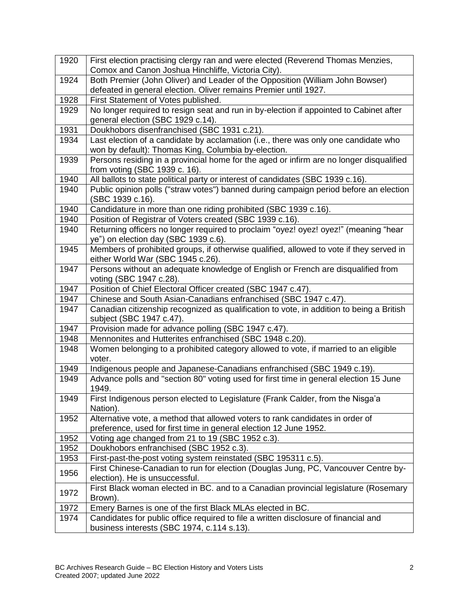| 1920 | First election practising clergy ran and were elected (Reverend Thomas Menzies,                                                                   |
|------|---------------------------------------------------------------------------------------------------------------------------------------------------|
|      | Comox and Canon Joshua Hinchliffe, Victoria City).                                                                                                |
| 1924 | Both Premier (John Oliver) and Leader of the Opposition (William John Bowser)<br>defeated in general election. Oliver remains Premier until 1927. |
| 1928 | First Statement of Votes published.                                                                                                               |
| 1929 | No longer required to resign seat and run in by-election if appointed to Cabinet after                                                            |
|      | general election (SBC 1929 c.14).                                                                                                                 |
| 1931 | Doukhobors disenfranchised (SBC 1931 c.21).                                                                                                       |
| 1934 | Last election of a candidate by acclamation (i.e., there was only one candidate who                                                               |
|      | won by default): Thomas King, Columbia by-election.                                                                                               |
| 1939 | Persons residing in a provincial home for the aged or infirm are no longer disqualified                                                           |
|      | from voting (SBC 1939 c. 16).                                                                                                                     |
| 1940 | All ballots to state political party or interest of candidates (SBC 1939 c.16).                                                                   |
| 1940 | Public opinion polls ("straw votes") banned during campaign period before an election                                                             |
|      | (SBC 1939 c.16).                                                                                                                                  |
| 1940 | Candidature in more than one riding prohibited (SBC 1939 c.16).                                                                                   |
| 1940 | Position of Registrar of Voters created (SBC 1939 c.16).                                                                                          |
| 1940 | Returning officers no longer required to proclaim "oyez! oyez! oyez!" (meaning "hear                                                              |
|      | ye") on election day (SBC 1939 c.6).                                                                                                              |
| 1945 | Members of prohibited groups, if otherwise qualified, allowed to vote if they served in                                                           |
|      | either World War (SBC 1945 c.26).                                                                                                                 |
| 1947 | Persons without an adequate knowledge of English or French are disqualified from                                                                  |
|      | voting (SBC 1947 c.28).                                                                                                                           |
| 1947 | Position of Chief Electoral Officer created (SBC 1947 c.47).                                                                                      |
| 1947 | Chinese and South Asian-Canadians enfranchised (SBC 1947 c.47).                                                                                   |
| 1947 | Canadian citizenship recognized as qualification to vote, in addition to being a British<br>subject (SBC 1947 c.47).                              |
| 1947 | Provision made for advance polling (SBC 1947 c.47).                                                                                               |
| 1948 | Mennonites and Hutterites enfranchised (SBC 1948 c.20).                                                                                           |
| 1948 | Women belonging to a prohibited category allowed to vote, if married to an eligible                                                               |
|      | voter.                                                                                                                                            |
| 1949 | Indigenous people and Japanese-Canadians enfranchised (SBC 1949 c.19).                                                                            |
| 1949 | Advance polls and "section 80" voting used for first time in general election 15 June                                                             |
|      | 1949.                                                                                                                                             |
| 1949 | First Indigenous person elected to Legislature (Frank Calder, from the Nisga'a                                                                    |
|      | Nation).                                                                                                                                          |
| 1952 | Alternative vote, a method that allowed voters to rank candidates in order of                                                                     |
|      | preference, used for first time in general election 12 June 1952.                                                                                 |
| 1952 | Voting age changed from 21 to 19 (SBC 1952 c.3).                                                                                                  |
| 1952 | Doukhobors enfranchised (SBC 1952 c.3).                                                                                                           |
| 1953 | First-past-the-post voting system reinstated (SBC 195311 c.5).                                                                                    |
| 1956 | First Chinese-Canadian to run for election (Douglas Jung, PC, Vancouver Centre by-<br>election). He is unsuccessful.                              |
|      | First Black woman elected in BC. and to a Canadian provincial legislature (Rosemary                                                               |
| 1972 | Brown).                                                                                                                                           |
| 1972 | Emery Barnes is one of the first Black MLAs elected in BC.                                                                                        |
| 1974 | Candidates for public office required to file a written disclosure of financial and                                                               |
|      | business interests (SBC 1974, c.114 s.13).                                                                                                        |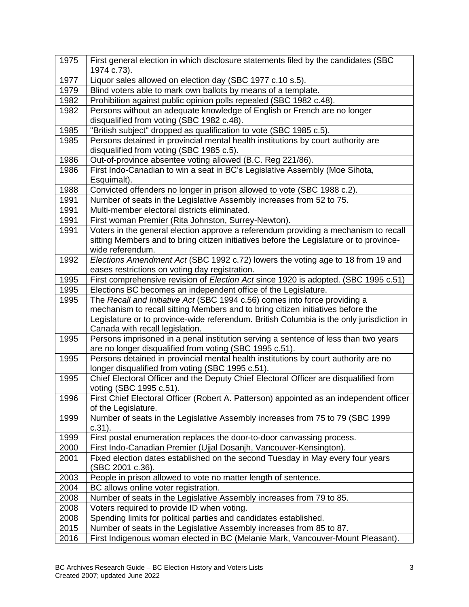| 1975         | First general election in which disclosure statements filed by the candidates (SBC<br>1974 c.73).                                                      |  |  |
|--------------|--------------------------------------------------------------------------------------------------------------------------------------------------------|--|--|
| 1977         | Liquor sales allowed on election day (SBC 1977 c.10 s.5).                                                                                              |  |  |
| 1979         | Blind voters able to mark own ballots by means of a template.                                                                                          |  |  |
| 1982         | Prohibition against public opinion polls repealed (SBC 1982 c.48).                                                                                     |  |  |
| 1982         | Persons without an adequate knowledge of English or French are no longer                                                                               |  |  |
|              | disqualified from voting (SBC 1982 c.48).                                                                                                              |  |  |
| 1985         | "British subject" dropped as qualification to vote (SBC 1985 c.5).                                                                                     |  |  |
| 1985         | Persons detained in provincial mental health institutions by court authority are<br>disqualified from voting (SBC 1985 c.5).                           |  |  |
| 1986         | Out-of-province absentee voting allowed (B.C. Reg 221/86).                                                                                             |  |  |
| 1986         | First Indo-Canadian to win a seat in BC's Legislative Assembly (Moe Sihota,                                                                            |  |  |
|              | Esquimalt).                                                                                                                                            |  |  |
| 1988         | Convicted offenders no longer in prison allowed to vote (SBC 1988 c.2).                                                                                |  |  |
| 1991         | Number of seats in the Legislative Assembly increases from 52 to 75.                                                                                   |  |  |
| 1991         | Multi-member electoral districts eliminated.                                                                                                           |  |  |
| 1991         | First woman Premier (Rita Johnston, Surrey-Newton).                                                                                                    |  |  |
| 1991         | Voters in the general election approve a referendum providing a mechanism to recall                                                                    |  |  |
|              | sitting Members and to bring citizen initiatives before the Legislature or to province-                                                                |  |  |
|              | wide referendum.                                                                                                                                       |  |  |
| 1992         | Elections Amendment Act (SBC 1992 c.72) lowers the voting age to 18 from 19 and                                                                        |  |  |
|              | eases restrictions on voting day registration.                                                                                                         |  |  |
| 1995         | First comprehensive revision of Election Act since 1920 is adopted. (SBC 1995 c.51)                                                                    |  |  |
| 1995         | Elections BC becomes an independent office of the Legislature.                                                                                         |  |  |
| 1995         | The Recall and Initiative Act (SBC 1994 c.56) comes into force providing a                                                                             |  |  |
|              | mechanism to recall sitting Members and to bring citizen initiatives before the                                                                        |  |  |
|              | Legislature or to province-wide referendum. British Columbia is the only jurisdiction in                                                               |  |  |
|              | Canada with recall legislation.                                                                                                                        |  |  |
| 1995         | Persons imprisoned in a penal institution serving a sentence of less than two years                                                                    |  |  |
|              | are no longer disqualified from voting (SBC 1995 c.51).                                                                                                |  |  |
| 1995         | Persons detained in provincial mental health institutions by court authority are no                                                                    |  |  |
|              | longer disqualified from voting (SBC 1995 c.51).                                                                                                       |  |  |
| 1995         | Chief Electoral Officer and the Deputy Chief Electoral Officer are disqualified from                                                                   |  |  |
|              | voting (SBC 1995 c.51).                                                                                                                                |  |  |
| 1996         | First Chief Electoral Officer (Robert A. Patterson) appointed as an independent officer                                                                |  |  |
| 1999         | of the Legislature.<br>Number of seats in the Legislative Assembly increases from 75 to 79 (SBC 1999)                                                  |  |  |
|              | $c.31$ ).                                                                                                                                              |  |  |
| 1999         |                                                                                                                                                        |  |  |
| 2000         | First postal enumeration replaces the door-to-door canvassing process.<br>First Indo-Canadian Premier (Ujjal Dosanjh, Vancouver-Kensington).           |  |  |
| 2001         | Fixed election dates established on the second Tuesday in May every four years                                                                         |  |  |
|              | (SBC 2001 c.36).                                                                                                                                       |  |  |
| 2003         | People in prison allowed to vote no matter length of sentence.                                                                                         |  |  |
| 2004         | BC allows online voter registration.                                                                                                                   |  |  |
| 2008         | Number of seats in the Legislative Assembly increases from 79 to 85.                                                                                   |  |  |
| 2008         | Voters required to provide ID when voting.                                                                                                             |  |  |
| 2008         | Spending limits for political parties and candidates established.                                                                                      |  |  |
|              |                                                                                                                                                        |  |  |
|              |                                                                                                                                                        |  |  |
| 2015<br>2016 | Number of seats in the Legislative Assembly increases from 85 to 87.<br>First Indigenous woman elected in BC (Melanie Mark, Vancouver-Mount Pleasant). |  |  |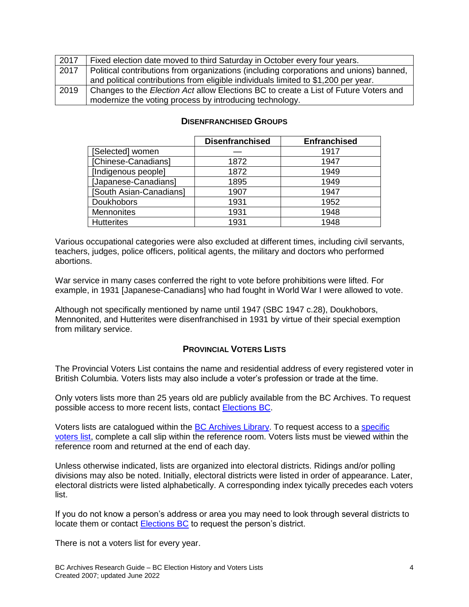| 2017              | Fixed election date moved to third Saturday in October every four years.                    |  |
|-------------------|---------------------------------------------------------------------------------------------|--|
| $\overline{2017}$ | Political contributions from organizations (including corporations and unions) banned,      |  |
|                   | and political contributions from eligible individuals limited to \$1,200 per year.          |  |
| 2019              | Changes to the <i>Election Act</i> allow Elections BC to create a List of Future Voters and |  |
|                   | modernize the voting process by introducing technology.                                     |  |

| <b>DISENFRANCHISED GROUPS</b> |
|-------------------------------|
|-------------------------------|

|                         | <b>Disenfranchised</b> | <b>Enfranchised</b> |
|-------------------------|------------------------|---------------------|
| [Selected] women        |                        | 1917                |
| [Chinese-Canadians]     | 1872                   | 1947                |
| [Indigenous people]     | 1872                   | 1949                |
| [Japanese-Canadians]    | 1895                   | 1949                |
| [South Asian-Canadians] | 1907                   | 1947                |
| <b>Doukhobors</b>       | 1931                   | 1952                |
| Mennonites              | 1931                   | 1948                |
| <b>Hutterites</b>       | 1931                   | 1948                |

Various occupational categories were also excluded at different times, including civil servants, teachers, judges, police officers, political agents, the military and doctors who performed abortions.

War service in many cases conferred the right to vote before prohibitions were lifted. For example, in 1931 [Japanese-Canadians] who had fought in World War I were allowed to vote.

Although not specifically mentioned by name until 1947 (SBC 1947 c.28), Doukhobors, Mennonited, and Hutterites were disenfranchised in 1931 by virtue of their special exemption from military service.

#### **PROVINCIAL VOTERS LISTS**

The Provincial Voters List contains the name and residential address of every registered voter in British Columbia. Voters lists may also include a voter's profession or trade at the time.

Only voters lists more than 25 years old are publicly available from the BC Archives. To request possible access to more recent lists, contact [Elections BC.](https://elections.bc.ca/)

Voters lists are catalogued within the [BC Archives Library.](https://rbcm.catalogue.libraries.coop/) To request access to a [specific](https://rbcm.catalogue.libraries.coop/eg/opac/results?query=voters%20list;qtype=keyword;locg=488;detail_record_view=1;facet=subject%7Ctopic%5BVoting%20registers%5D)  [voters list,](https://rbcm.catalogue.libraries.coop/eg/opac/results?query=voters%20list;qtype=keyword;locg=488;detail_record_view=1;facet=subject%7Ctopic%5BVoting%20registers%5D) complete a call slip within the reference room. Voters lists must be viewed within the reference room and returned at the end of each day.

Unless otherwise indicated, lists are organized into electoral districts. Ridings and/or polling divisions may also be noted. Initially, electoral districts were listed in order of appearance. Later, electoral districts were listed alphabetically. A corresponding index tyically precedes each voters list.

If you do not know a person's address or area you may need to look through several districts to locate them or contact [Elections BC](https://elections.bc.ca/) to request the person's district.

There is not a voters list for every year.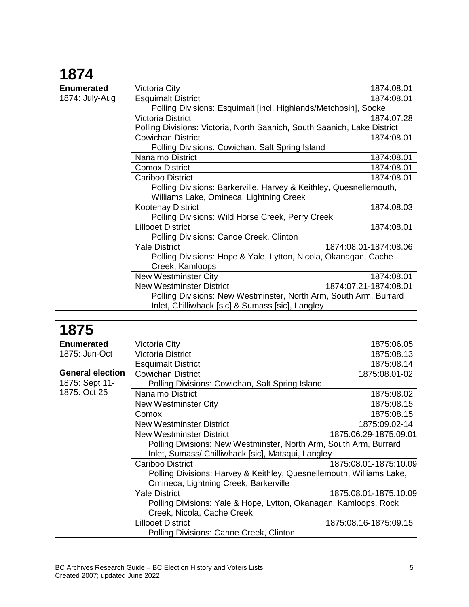| 1874              |                                                                          |                       |  |  |  |
|-------------------|--------------------------------------------------------------------------|-----------------------|--|--|--|
| <b>Enumerated</b> | Victoria City                                                            | 1874:08.01            |  |  |  |
| 1874: July-Aug    | <b>Esquimalt District</b>                                                | 1874:08.01            |  |  |  |
|                   | Polling Divisions: Esquimalt [incl. Highlands/Metchosin], Sooke          |                       |  |  |  |
|                   | Victoria District                                                        | 1874:07.28            |  |  |  |
|                   | Polling Divisions: Victoria, North Saanich, South Saanich, Lake District |                       |  |  |  |
|                   | <b>Cowichan District</b>                                                 | 1874:08.01            |  |  |  |
|                   | Polling Divisions: Cowichan, Salt Spring Island                          |                       |  |  |  |
|                   | Nanaimo District                                                         | 1874:08.01            |  |  |  |
|                   | <b>Comox District</b>                                                    | 1874:08.01            |  |  |  |
|                   | Cariboo District                                                         | 1874:08.01            |  |  |  |
|                   | Polling Divisions: Barkerville, Harvey & Keithley, Quesnellemouth,       |                       |  |  |  |
|                   | Williams Lake, Omineca, Lightning Creek                                  |                       |  |  |  |
|                   | 1874:08.03<br><b>Kootenay District</b>                                   |                       |  |  |  |
|                   | Polling Divisions: Wild Horse Creek, Perry Creek                         |                       |  |  |  |
|                   | <b>Lillooet District</b>                                                 | 1874:08.01            |  |  |  |
|                   | Polling Divisions: Canoe Creek, Clinton                                  |                       |  |  |  |
|                   | <b>Yale District</b>                                                     | 1874:08.01-1874:08.06 |  |  |  |
|                   | Polling Divisions: Hope & Yale, Lytton, Nicola, Okanagan, Cache          |                       |  |  |  |
|                   | Creek, Kamloops                                                          |                       |  |  |  |
|                   | <b>New Westminster City</b>                                              | 1874:08.01            |  |  |  |
|                   | <b>New Westminster District</b>                                          | 1874:07.21-1874:08.01 |  |  |  |
|                   | Polling Divisions: New Westminster, North Arm, South Arm, Burrard        |                       |  |  |  |
|                   | Inlet, Chilliwhack [sic] & Sumass [sic], Langley                         |                       |  |  |  |

| 1875                    |                                                                      |                       |  |  |  |
|-------------------------|----------------------------------------------------------------------|-----------------------|--|--|--|
| <b>Enumerated</b>       | Victoria City                                                        | 1875:06.05            |  |  |  |
| 1875: Jun-Oct           | <b>Victoria District</b>                                             | 1875:08.13            |  |  |  |
|                         | <b>Esquimalt District</b>                                            | 1875:08.14            |  |  |  |
| <b>General election</b> | <b>Cowichan District</b>                                             | 1875:08.01-02         |  |  |  |
| 1875: Sept 11-          | Polling Divisions: Cowichan, Salt Spring Island                      |                       |  |  |  |
| 1875: Oct 25            | Nanaimo District                                                     | 1875:08.02            |  |  |  |
|                         | New Westminster City                                                 | 1875:08.15            |  |  |  |
|                         | Comox                                                                | 1875:08.15            |  |  |  |
|                         | <b>New Westminster District</b>                                      | 1875:09.02-14         |  |  |  |
|                         | <b>New Westminster District</b>                                      | 1875:06.29-1875:09.01 |  |  |  |
|                         | Polling Divisions: New Westminster, North Arm, South Arm, Burrard    |                       |  |  |  |
|                         | Inlet, Sumass/ Chilliwhack [sic], Matsqui, Langley                   |                       |  |  |  |
|                         | 1875:08.01-1875:10.09<br>Cariboo District                            |                       |  |  |  |
|                         | Polling Divisions: Harvey & Keithley, Quesnellemouth, Williams Lake, |                       |  |  |  |
|                         | Omineca, Lightning Creek, Barkerville                                |                       |  |  |  |
|                         | <b>Yale District</b><br>1875:08.01-1875:10.09                        |                       |  |  |  |
|                         | Polling Divisions: Yale & Hope, Lytton, Okanagan, Kamloops, Rock     |                       |  |  |  |
|                         | Creek, Nicola, Cache Creek                                           |                       |  |  |  |
|                         | <b>Lillooet District</b>                                             | 1875:08.16-1875:09.15 |  |  |  |
|                         | Polling Divisions: Canoe Creek, Clinton                              |                       |  |  |  |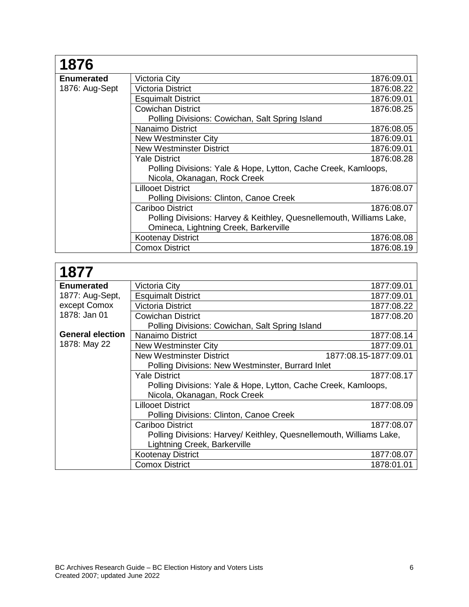| 1876           |                                                                                                |            |  |  |
|----------------|------------------------------------------------------------------------------------------------|------------|--|--|
| Enumerated     | Victoria City                                                                                  | 1876:09.01 |  |  |
| 1876: Aug-Sept | Victoria District                                                                              | 1876:08.22 |  |  |
|                | <b>Esquimalt District</b>                                                                      | 1876:09.01 |  |  |
|                | <b>Cowichan District</b>                                                                       | 1876:08.25 |  |  |
|                | Polling Divisions: Cowichan, Salt Spring Island                                                |            |  |  |
|                | Nanaimo District                                                                               | 1876:08.05 |  |  |
|                | <b>New Westminster City</b>                                                                    | 1876:09.01 |  |  |
|                | <b>New Westminster District</b>                                                                | 1876:09.01 |  |  |
|                | <b>Yale District</b>                                                                           | 1876:08.28 |  |  |
|                | Polling Divisions: Yale & Hope, Lytton, Cache Creek, Kamloops,<br>Nicola, Okanagan, Rock Creek |            |  |  |
|                | <b>Lillooet District</b>                                                                       | 1876:08.07 |  |  |
|                | Polling Divisions: Clinton, Canoe Creek                                                        |            |  |  |
|                | Cariboo District                                                                               | 1876:08.07 |  |  |
|                | Polling Divisions: Harvey & Keithley, Quesnellemouth, Williams Lake,                           |            |  |  |
|                | Omineca, Lightning Creek, Barkerville                                                          |            |  |  |
|                | <b>Kootenay District</b>                                                                       | 1876:08.08 |  |  |
|                | Comox District                                                                                 | 1876:08.19 |  |  |

| .                       |                                                                     |                       |  |  |
|-------------------------|---------------------------------------------------------------------|-----------------------|--|--|
| <b>Enumerated</b>       | <b>Victoria City</b>                                                | 1877:09.01            |  |  |
| 1877: Aug-Sept,         | <b>Esquimalt District</b>                                           | 1877:09.01            |  |  |
| except Comox            | <b>Victoria District</b>                                            | 1877:08.22            |  |  |
| 1878: Jan 01            | <b>Cowichan District</b>                                            | 1877:08.20            |  |  |
|                         | Polling Divisions: Cowichan, Salt Spring Island                     |                       |  |  |
| <b>General election</b> | Nanaimo District                                                    | 1877:08.14            |  |  |
| 1878: May 22            | New Westminster City                                                | 1877:09.01            |  |  |
|                         | <b>New Westminster District</b>                                     | 1877:08.15-1877:09.01 |  |  |
|                         | Polling Divisions: New Westminster, Burrard Inlet                   |                       |  |  |
|                         | <b>Yale District</b>                                                | 1877:08.17            |  |  |
|                         | Polling Divisions: Yale & Hope, Lytton, Cache Creek, Kamloops,      |                       |  |  |
|                         | Nicola, Okanagan, Rock Creek                                        |                       |  |  |
|                         | <b>Lillooet District</b>                                            | 1877:08.09            |  |  |
|                         | Polling Divisions: Clinton, Canoe Creek                             |                       |  |  |
|                         | Cariboo District                                                    | 1877:08.07            |  |  |
|                         | Polling Divisions: Harvey/ Keithley, Quesnellemouth, Williams Lake, |                       |  |  |
|                         | Lightning Creek, Barkerville                                        |                       |  |  |
|                         | <b>Kootenay District</b>                                            | 1877:08.07            |  |  |
|                         | <b>Comox District</b>                                               | 1878:01.01            |  |  |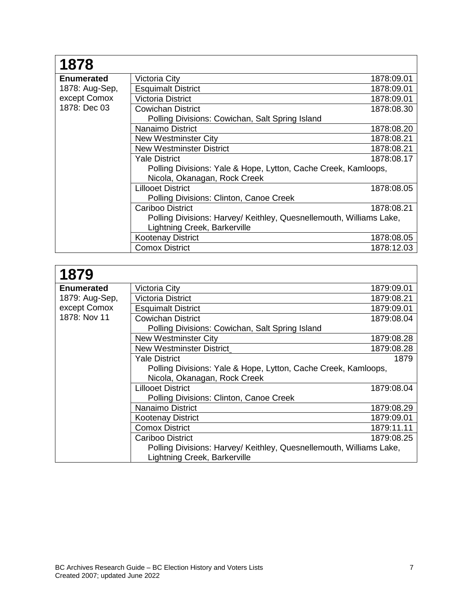| 1878                                                                                           |                                                                     |            |  |
|------------------------------------------------------------------------------------------------|---------------------------------------------------------------------|------------|--|
| <b>Enumerated</b>                                                                              | Victoria City                                                       | 1878:09.01 |  |
| 1878: Aug-Sep,                                                                                 | <b>Esquimalt District</b>                                           | 1878:09.01 |  |
| except Comox                                                                                   | Victoria District                                                   | 1878:09.01 |  |
| 1878: Dec 03                                                                                   | <b>Cowichan District</b>                                            | 1878:08.30 |  |
|                                                                                                | Polling Divisions: Cowichan, Salt Spring Island                     |            |  |
|                                                                                                | Nanaimo District                                                    | 1878:08.20 |  |
|                                                                                                | <b>New Westminster City</b>                                         | 1878:08.21 |  |
|                                                                                                | <b>New Westminster District</b>                                     | 1878:08.21 |  |
|                                                                                                | <b>Yale District</b>                                                | 1878:08.17 |  |
| Polling Divisions: Yale & Hope, Lytton, Cache Creek, Kamloops,<br>Nicola, Okanagan, Rock Creek |                                                                     |            |  |
|                                                                                                | <b>Lillooet District</b>                                            | 1878:08.05 |  |
|                                                                                                | Polling Divisions: Clinton, Canoe Creek                             |            |  |
|                                                                                                | Cariboo District                                                    | 1878:08.21 |  |
|                                                                                                | Polling Divisions: Harvey/ Keithley, Quesnellemouth, Williams Lake, |            |  |
|                                                                                                | Lightning Creek, Barkerville                                        |            |  |
|                                                                                                | <b>Kootenay District</b>                                            | 1878:08.05 |  |
|                                                                                                | <b>Comox District</b>                                               | 1878:12.03 |  |

| 1879              |                                                                     |            |
|-------------------|---------------------------------------------------------------------|------------|
| <b>Enumerated</b> | Victoria City                                                       | 1879:09.01 |
| 1879: Aug-Sep,    | Victoria District                                                   | 1879:08.21 |
| except Comox      | <b>Esquimalt District</b>                                           | 1879:09.01 |
| 1878: Nov 11      | <b>Cowichan District</b>                                            | 1879:08.04 |
|                   | Polling Divisions: Cowichan, Salt Spring Island                     |            |
|                   | <b>New Westminster City</b>                                         | 1879:08.28 |
|                   | <b>New Westminster District</b>                                     | 1879:08.28 |
|                   | <b>Yale District</b>                                                | 1879       |
|                   | Polling Divisions: Yale & Hope, Lytton, Cache Creek, Kamloops,      |            |
|                   | Nicola, Okanagan, Rock Creek                                        |            |
|                   | <b>Lillooet District</b>                                            | 1879:08.04 |
|                   | Polling Divisions: Clinton, Canoe Creek                             |            |
|                   | Nanaimo District                                                    | 1879:08.29 |
|                   | Kootenay District                                                   | 1879:09.01 |
|                   | <b>Comox District</b>                                               | 1879:11.11 |
|                   | Cariboo District                                                    | 1879:08.25 |
|                   | Polling Divisions: Harvey/ Keithley, Quesnellemouth, Williams Lake, |            |
|                   | Lightning Creek, Barkerville                                        |            |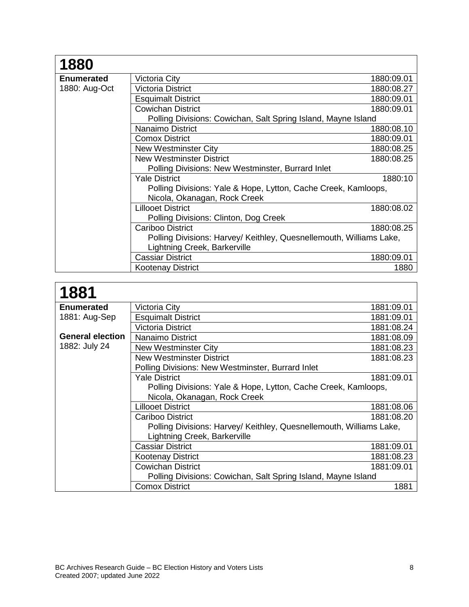| 1880          |                                                                     |            |
|---------------|---------------------------------------------------------------------|------------|
| Enumerated    | Victoria City                                                       | 1880:09.01 |
| 1880: Aug-Oct | <b>Victoria District</b>                                            | 1880:08.27 |
|               | <b>Esquimalt District</b>                                           | 1880:09.01 |
|               | <b>Cowichan District</b>                                            | 1880:09.01 |
|               | Polling Divisions: Cowichan, Salt Spring Island, Mayne Island       |            |
|               | Nanaimo District                                                    | 1880:08.10 |
|               | <b>Comox District</b>                                               | 1880:09.01 |
|               | <b>New Westminster City</b>                                         | 1880:08.25 |
|               | <b>New Westminster District</b>                                     | 1880:08.25 |
|               | Polling Divisions: New Westminster, Burrard Inlet                   |            |
|               | <b>Yale District</b>                                                | 1880:10    |
|               | Polling Divisions: Yale & Hope, Lytton, Cache Creek, Kamloops,      |            |
|               | Nicola, Okanagan, Rock Creek                                        |            |
|               | <b>Lillooet District</b>                                            | 1880:08.02 |
|               | Polling Divisions: Clinton, Dog Creek                               |            |
|               | Cariboo District                                                    | 1880:08.25 |
|               | Polling Divisions: Harvey/ Keithley, Quesnellemouth, Williams Lake, |            |
|               | Lightning Creek, Barkerville                                        |            |
|               | <b>Cassiar District</b>                                             | 1880:09.01 |
|               | <b>Kootenay District</b>                                            | 1880       |

| 1 JU 1                                                                                         |                                                                     |            |
|------------------------------------------------------------------------------------------------|---------------------------------------------------------------------|------------|
| <b>Enumerated</b>                                                                              | Victoria City                                                       | 1881:09.01 |
| 1881: Aug-Sep                                                                                  | <b>Esquimalt District</b>                                           | 1881:09.01 |
|                                                                                                | <b>Victoria District</b>                                            | 1881:08.24 |
| <b>General election</b>                                                                        | Nanaimo District                                                    | 1881:08.09 |
| 1882: July 24                                                                                  | <b>New Westminster City</b>                                         | 1881:08.23 |
|                                                                                                | <b>New Westminster District</b>                                     | 1881:08.23 |
|                                                                                                | Polling Divisions: New Westminster, Burrard Inlet                   |            |
|                                                                                                | <b>Yale District</b>                                                | 1881:09.01 |
| Polling Divisions: Yale & Hope, Lytton, Cache Creek, Kamloops,<br>Nicola, Okanagan, Rock Creek |                                                                     |            |
|                                                                                                |                                                                     |            |
|                                                                                                | <b>Lillooet District</b>                                            | 1881:08.06 |
|                                                                                                | Cariboo District                                                    | 1881:08.20 |
|                                                                                                | Polling Divisions: Harvey/ Keithley, Quesnellemouth, Williams Lake, |            |
|                                                                                                | Lightning Creek, Barkerville                                        |            |
|                                                                                                | <b>Cassiar District</b>                                             | 1881:09.01 |
|                                                                                                | Kootenay District                                                   | 1881:08.23 |
|                                                                                                | <b>Cowichan District</b>                                            | 1881:09.01 |
|                                                                                                | Polling Divisions: Cowichan, Salt Spring Island, Mayne Island       |            |
|                                                                                                | <b>Comox District</b>                                               | 1881       |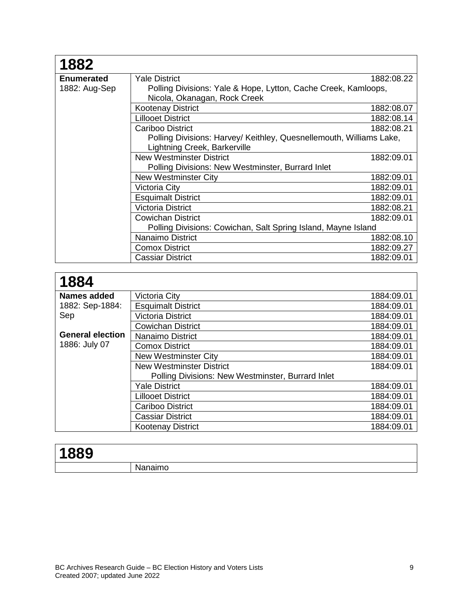| 1882              |                                                                     |            |
|-------------------|---------------------------------------------------------------------|------------|
| <b>Enumerated</b> | <b>Yale District</b>                                                | 1882:08.22 |
| 1882: Aug-Sep     | Polling Divisions: Yale & Hope, Lytton, Cache Creek, Kamloops,      |            |
|                   | Nicola, Okanagan, Rock Creek                                        |            |
|                   | Kootenay District                                                   | 1882:08.07 |
|                   | <b>Lillooet District</b>                                            | 1882:08.14 |
|                   | Cariboo District                                                    | 1882:08.21 |
|                   | Polling Divisions: Harvey/ Keithley, Quesnellemouth, Williams Lake, |            |
|                   | Lightning Creek, Barkerville                                        |            |
|                   | <b>New Westminster District</b>                                     | 1882:09.01 |
|                   | Polling Divisions: New Westminster, Burrard Inlet                   |            |
|                   | <b>New Westminster City</b>                                         | 1882:09.01 |
|                   | Victoria City                                                       | 1882:09.01 |
|                   | <b>Esquimalt District</b>                                           | 1882:09.01 |
|                   | Victoria District                                                   | 1882:08.21 |
|                   | <b>Cowichan District</b>                                            | 1882:09.01 |
|                   | Polling Divisions: Cowichan, Salt Spring Island, Mayne Island       |            |
|                   | Nanaimo District                                                    | 1882:08.10 |
|                   | <b>Comox District</b>                                               | 1882:09.27 |
|                   | <b>Cassiar District</b>                                             | 1882:09.01 |

| 1 UUT                   |                                                   |            |
|-------------------------|---------------------------------------------------|------------|
| <b>Names added</b>      | Victoria City                                     | 1884:09.01 |
| 1882: Sep-1884:         | <b>Esquimalt District</b>                         | 1884:09.01 |
| Sep                     | Victoria District                                 | 1884:09.01 |
|                         | <b>Cowichan District</b>                          | 1884:09.01 |
| <b>General election</b> | Nanaimo District                                  | 1884:09.01 |
| 1886: July 07           | <b>Comox District</b>                             | 1884:09.01 |
|                         | <b>New Westminster City</b>                       | 1884:09.01 |
|                         | <b>New Westminster District</b>                   | 1884:09.01 |
|                         | Polling Divisions: New Westminster, Burrard Inlet |            |
|                         | <b>Yale District</b>                              | 1884:09.01 |
|                         | <b>Lillooet District</b>                          | 1884:09.01 |
|                         | <b>Cariboo District</b>                           | 1884:09.01 |
|                         | <b>Cassiar District</b>                           | 1884:09.01 |
|                         | <b>Kootenay District</b>                          | 1884:09.01 |

## **1889**

Nanaimo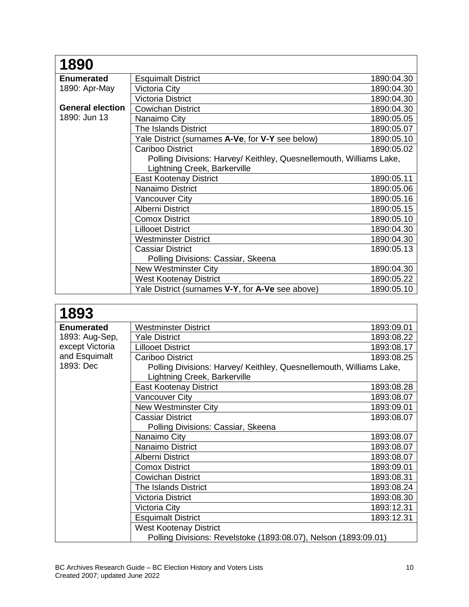| 1890                    |                                                                     |            |
|-------------------------|---------------------------------------------------------------------|------------|
| <b>Enumerated</b>       | <b>Esquimalt District</b>                                           | 1890:04.30 |
| 1890: Apr-May           | Victoria City                                                       | 1890:04.30 |
|                         | <b>Victoria District</b>                                            | 1890:04.30 |
| <b>General election</b> | <b>Cowichan District</b>                                            | 1890:04.30 |
| 1890: Jun 13            | Nanaimo City                                                        | 1890:05.05 |
|                         | <b>The Islands District</b>                                         | 1890:05.07 |
|                         | Yale District (surnames A-Ve, for V-Y see below)                    | 1890:05.10 |
|                         | Cariboo District                                                    | 1890:05.02 |
|                         | Polling Divisions: Harvey/ Keithley, Quesnellemouth, Williams Lake, |            |
|                         | Lightning Creek, Barkerville                                        |            |
|                         | <b>East Kootenay District</b>                                       | 1890:05.11 |
|                         | Nanaimo District                                                    | 1890:05.06 |
|                         | <b>Vancouver City</b>                                               | 1890:05.16 |
|                         | <b>Alberni District</b>                                             | 1890:05.15 |
|                         | <b>Comox District</b>                                               | 1890:05.10 |
|                         | <b>Lillooet District</b>                                            | 1890:04.30 |
|                         | <b>Westminster District</b>                                         | 1890:04.30 |
|                         | <b>Cassiar District</b>                                             | 1890:05.13 |
|                         | Polling Divisions: Cassiar, Skeena                                  |            |
|                         | <b>New Westminster City</b>                                         | 1890:04.30 |
|                         | <b>West Kootenay District</b>                                       | 1890:05.22 |
|                         | Yale District (surnames V-Y, for A-Ve see above)                    | 1890:05.10 |

| <b>Enumerated</b> | <b>Westminster District</b>                                         | 1893:09.01 |
|-------------------|---------------------------------------------------------------------|------------|
| 1893: Aug-Sep,    | <b>Yale District</b>                                                | 1893:08.22 |
| except Victoria   | <b>Lillooet District</b>                                            | 1893:08.17 |
| and Esquimalt     | Cariboo District                                                    | 1893:08.25 |
| 1893: Dec         | Polling Divisions: Harvey/ Keithley, Quesnellemouth, Williams Lake, |            |
|                   | Lightning Creek, Barkerville                                        |            |
|                   | <b>East Kootenay District</b>                                       | 1893:08.28 |
|                   | Vancouver City                                                      | 1893:08.07 |
|                   | <b>New Westminster City</b>                                         | 1893:09.01 |
|                   | <b>Cassiar District</b>                                             | 1893:08.07 |
|                   | Polling Divisions: Cassiar, Skeena                                  |            |
|                   | Nanaimo City                                                        | 1893:08.07 |
|                   | Nanaimo District                                                    | 1893:08.07 |
|                   | <b>Alberni District</b>                                             | 1893:08.07 |
|                   | <b>Comox District</b>                                               | 1893:09.01 |
|                   | <b>Cowichan District</b>                                            | 1893:08.31 |
|                   | The Islands District                                                | 1893:08.24 |
|                   | <b>Victoria District</b>                                            | 1893:08.30 |
|                   | <b>Victoria City</b>                                                | 1893:12.31 |
|                   | <b>Esquimalt District</b>                                           | 1893:12.31 |
|                   | <b>West Kootenay District</b>                                       |            |
|                   | Polling Divisions: Revelstoke (1893:08.07), Nelson (1893:09.01)     |            |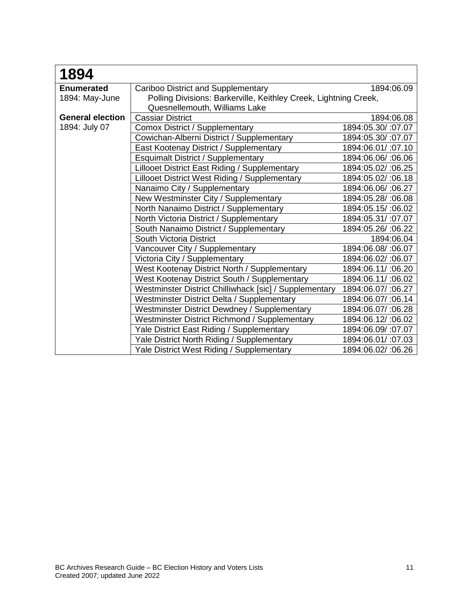| 1894                    |                                                                  |                    |
|-------------------------|------------------------------------------------------------------|--------------------|
| <b>Enumerated</b>       | Cariboo District and Supplementary                               | 1894:06.09         |
| 1894: May-June          | Polling Divisions: Barkerville, Keithley Creek, Lightning Creek, |                    |
|                         | Quesnellemouth, Williams Lake                                    |                    |
| <b>General election</b> | <b>Cassiar District</b>                                          | 1894:06.08         |
| 1894: July 07           | Comox District / Supplementary                                   | 1894:05.30/:07.07  |
|                         | Cowichan-Alberni District / Supplementary                        | 1894:05.30/:07.07  |
|                         | East Kootenay District / Supplementary                           | 1894:06.01/:07.10  |
|                         | Esquimalt District / Supplementary                               | 1894:06.06/:06.06  |
|                         | Lillooet District East Riding / Supplementary                    | 1894:05.02/:06.25  |
|                         | Lillooet District West Riding / Supplementary                    | 1894:05.02/:06.18  |
|                         | Nanaimo City / Supplementary                                     | 1894:06.06/:06.27  |
|                         | New Westminster City / Supplementary                             | 1894:05.28/:06.08  |
|                         | North Nanaimo District / Supplementary                           | 1894:05.15/:06.02  |
|                         | North Victoria District / Supplementary                          | 1894:05.31/:07.07  |
|                         | South Nanaimo District / Supplementary                           | 1894:05.26/:06.22  |
|                         | South Victoria District                                          | 1894:06.04         |
|                         | Vancouver City / Supplementary                                   | 1894:06.08/:06.07  |
|                         | Victoria City / Supplementary                                    | 1894:06.02/:06.07  |
|                         | West Kootenay District North / Supplementary                     | 1894:06.11/:06.20  |
|                         | West Kootenay District South / Supplementary                     | 1894:06.11/:06.02  |
|                         | Westminster District Chilliwhack [sic] / Supplementary           | 1894:06.07/ :06.27 |
|                         | Westminster District Delta / Supplementary                       | 1894:06.07/:06.14  |
|                         | Westminster District Dewdney / Supplementary                     | 1894:06.07/ :06.28 |
|                         | Westminster District Richmond / Supplementary                    | 1894:06.12/:06.02  |
|                         | Yale District East Riding / Supplementary                        | 1894:06.09/ :07.07 |
|                         | Yale District North Riding / Supplementary                       | 1894:06.01/:07.03  |
|                         | Yale District West Riding / Supplementary                        | 1894:06.02/:06.26  |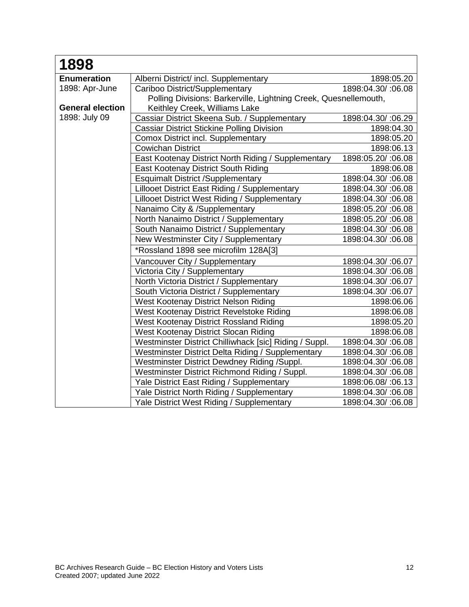| 1898                    |                                                                  |                   |
|-------------------------|------------------------------------------------------------------|-------------------|
| <b>Enumeration</b>      | Alberni District/ incl. Supplementary                            | 1898:05.20        |
| 1898: Apr-June          | Cariboo District/Supplementary                                   | 1898:04.30/:06.08 |
|                         | Polling Divisions: Barkerville, Lightning Creek, Quesnellemouth, |                   |
| <b>General election</b> | Keithley Creek, Williams Lake                                    |                   |
| 1898: July 09           | Cassiar District Skeena Sub. / Supplementary                     | 1898:04.30/:06.29 |
|                         | <b>Cassiar District Stickine Polling Division</b>                | 1898:04.30        |
|                         | Comox District incl. Supplementary                               | 1898:05.20        |
|                         | <b>Cowichan District</b>                                         | 1898:06.13        |
|                         | East Kootenay District North Riding / Supplementary              | 1898:05.20/:06.08 |
|                         | East Kootenay District South Riding                              | 1898:06.08        |
|                         | <b>Esquimalt District /Supplementary</b>                         | 1898:04.30/:06.08 |
|                         | Lillooet District East Riding / Supplementary                    | 1898:04.30/:06.08 |
|                         | Lillooet District West Riding / Supplementary                    | 1898:04.30/:06.08 |
|                         | Nanaimo City & /Supplementary                                    | 1898:05.20/:06.08 |
|                         | North Nanaimo District / Supplementary                           | 1898:05.20/:06.08 |
|                         | South Nanaimo District / Supplementary                           | 1898:04.30/:06.08 |
|                         | New Westminster City / Supplementary                             | 1898:04.30/:06.08 |
|                         | *Rossland 1898 see microfilm 128A[3]                             |                   |
|                         | Vancouver City / Supplementary                                   | 1898:04.30/:06.07 |
|                         | Victoria City / Supplementary                                    | 1898:04.30/:06.08 |
|                         | North Victoria District / Supplementary                          | 1898:04.30/:06.07 |
|                         | South Victoria District / Supplementary                          | 1898:04.30/:06.07 |
|                         | West Kootenay District Nelson Riding                             | 1898:06.06        |
|                         | West Kootenay District Revelstoke Riding                         | 1898:06.08        |
|                         | West Kootenay District Rossland Riding                           | 1898:05.20        |
|                         | West Kootenay District Slocan Riding                             | 1898:06.08        |
|                         | Westminster District Chilliwhack [sic] Riding / Suppl.           | 1898:04.30/:06.08 |
|                         | Westminster District Delta Riding / Supplementary                | 1898:04.30/:06.08 |
|                         | Westminster District Dewdney Riding /Suppl.                      | 1898:04.30/:06.08 |
|                         | Westminster District Richmond Riding / Suppl.                    | 1898:04.30/:06.08 |
|                         | Yale District East Riding / Supplementary                        | 1898:06.08/:06.13 |
|                         | Yale District North Riding / Supplementary                       | 1898:04.30/:06.08 |
|                         | Yale District West Riding / Supplementary                        | 1898:04.30/:06.08 |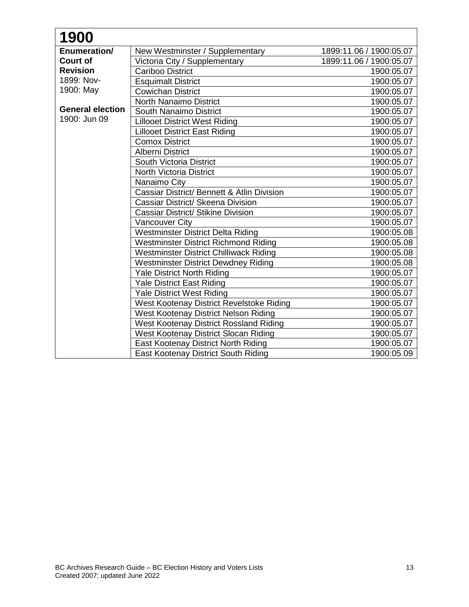| 1900                    |                                            |                         |
|-------------------------|--------------------------------------------|-------------------------|
| Enumeration/            | New Westminster / Supplementary            | 1899:11.06 / 1900:05.07 |
| <b>Court of</b>         | Victoria City / Supplementary              | 1899:11.06 / 1900:05.07 |
| <b>Revision</b>         | Cariboo District                           | 1900:05.07              |
| 1899: Nov-              | <b>Esquimalt District</b>                  | 1900:05.07              |
| 1900: May               | <b>Cowichan District</b>                   | 1900:05.07              |
|                         | <b>North Nanaimo District</b>              | 1900:05.07              |
| <b>General election</b> | South Nanaimo District                     | 1900:05.07              |
| 1900: Jun 09            | <b>Lillooet District West Riding</b>       | 1900:05.07              |
|                         | <b>Lillooet District East Riding</b>       | 1900:05.07              |
|                         | <b>Comox District</b>                      | 1900:05.07              |
|                         | <b>Alberni District</b>                    | 1900:05.07              |
|                         | South Victoria District                    | 1900:05.07              |
|                         | North Victoria District                    | 1900:05.07              |
|                         | Nanaimo City                               | 1900:05.07              |
|                         | Cassiar District/ Bennett & Atlin Division | 1900:05.07              |
|                         | Cassiar District/ Skeena Division          | 1900:05.07              |
|                         | Cassiar District/ Stikine Division         | 1900:05.07              |
|                         | <b>Vancouver City</b>                      | 1900:05.07              |
|                         | <b>Westminster District Delta Riding</b>   | 1900:05.08              |
|                         | Westminster District Richmond Riding       | 1900:05.08              |
|                         | Westminster District Chilliwack Riding     | 1900:05.08              |
|                         | <b>Westminster District Dewdney Riding</b> | 1900:05.08              |
|                         | <b>Yale District North Riding</b>          | 1900:05.07              |
|                         | <b>Yale District East Riding</b>           | 1900:05.07              |
|                         | <b>Yale District West Riding</b>           | 1900:05.07              |
|                         | West Kootenay District Revelstoke Riding   | 1900:05.07              |
|                         | West Kootenay District Nelson Riding       | 1900:05.07              |
|                         | West Kootenay District Rossland Riding     | 1900:05.07              |
|                         | West Kootenay District Slocan Riding       | 1900:05.07              |
|                         | East Kootenay District North Riding        | 1900:05.07              |
|                         | East Kootenay District South Riding        | 1900:05.09              |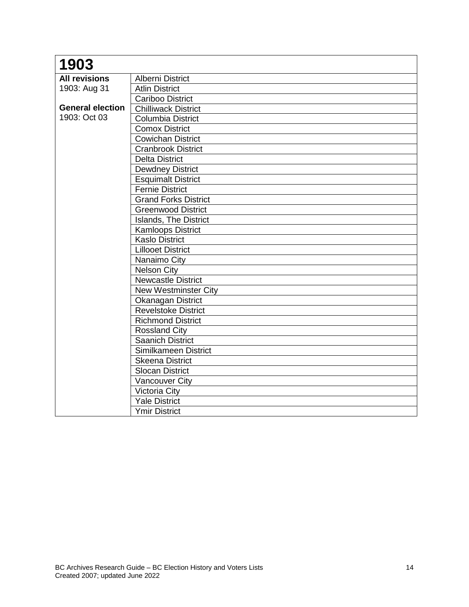| 1903                    |                             |
|-------------------------|-----------------------------|
| <b>All revisions</b>    | <b>Alberni District</b>     |
| 1903: Aug 31            | <b>Atlin District</b>       |
|                         | Cariboo District            |
| <b>General election</b> | <b>Chilliwack District</b>  |
| 1903: Oct 03            | <b>Columbia District</b>    |
|                         | <b>Comox District</b>       |
|                         | <b>Cowichan District</b>    |
|                         | <b>Cranbrook District</b>   |
|                         | <b>Delta District</b>       |
|                         | <b>Dewdney District</b>     |
|                         | <b>Esquimalt District</b>   |
|                         | <b>Fernie District</b>      |
|                         | <b>Grand Forks District</b> |
|                         | <b>Greenwood District</b>   |
|                         | Islands, The District       |
|                         | <b>Kamloops District</b>    |
|                         | <b>Kaslo District</b>       |
|                         | <b>Lillooet District</b>    |
|                         | Nanaimo City                |
|                         | <b>Nelson City</b>          |
|                         | <b>Newcastle District</b>   |
|                         | <b>New Westminster City</b> |
|                         | Okanagan District           |
|                         | <b>Revelstoke District</b>  |
|                         | <b>Richmond District</b>    |
|                         | <b>Rossland City</b>        |
|                         | Saanich District            |
|                         | Similkameen District        |
|                         | <b>Skeena District</b>      |
|                         | <b>Slocan District</b>      |
|                         | <b>Vancouver City</b>       |
|                         | Victoria City               |
|                         | <b>Yale District</b>        |
|                         | <b>Ymir District</b>        |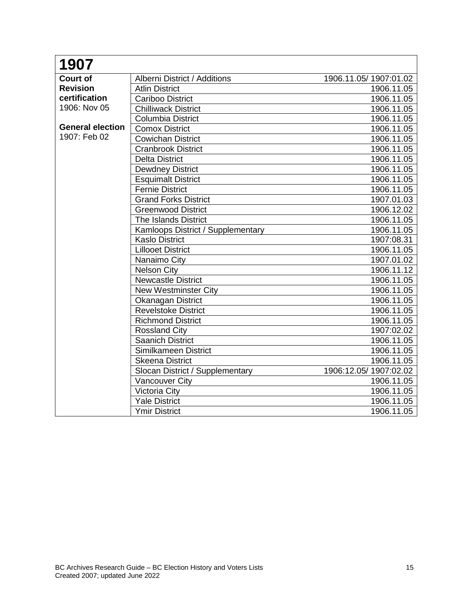| 1907                    |                                   |                        |
|-------------------------|-----------------------------------|------------------------|
| <b>Court of</b>         | Alberni District / Additions      | 1906.11.05/1907:01.02  |
| <b>Revision</b>         | <b>Atlin District</b>             | 1906.11.05             |
| certification           | <b>Cariboo District</b>           | 1906.11.05             |
| 1906: Nov 05            | <b>Chilliwack District</b>        | 1906.11.05             |
|                         | Columbia District                 | 1906.11.05             |
| <b>General election</b> | <b>Comox District</b>             | 1906.11.05             |
| 1907: Feb 02            | <b>Cowichan District</b>          | 1906.11.05             |
|                         | <b>Cranbrook District</b>         | 1906.11.05             |
|                         | <b>Delta District</b>             | 1906.11.05             |
|                         | <b>Dewdney District</b>           | 1906.11.05             |
|                         | <b>Esquimalt District</b>         | 1906.11.05             |
|                         | <b>Fernie District</b>            | 1906.11.05             |
|                         | <b>Grand Forks District</b>       | 1907.01.03             |
|                         | <b>Greenwood District</b>         | 1906.12.02             |
|                         | <b>The Islands District</b>       | 1906.11.05             |
|                         | Kamloops District / Supplementary | 1906.11.05             |
|                         | <b>Kaslo District</b>             | 1907:08.31             |
|                         | <b>Lillooet District</b>          | 1906.11.05             |
|                         | Nanaimo City                      | 1907.01.02             |
|                         | <b>Nelson City</b>                | 1906.11.12             |
|                         | <b>Newcastle District</b>         | 1906.11.05             |
|                         | <b>New Westminster City</b>       | 1906.11.05             |
|                         | <b>Okanagan District</b>          | 1906.11.05             |
|                         | <b>Revelstoke District</b>        | 1906.11.05             |
|                         | <b>Richmond District</b>          | 1906.11.05             |
|                         | <b>Rossland City</b>              | 1907:02.02             |
|                         | <b>Saanich District</b>           | 1906.11.05             |
|                         | Similkameen District              | 1906.11.05             |
|                         | <b>Skeena District</b>            | 1906.11.05             |
|                         | Slocan District / Supplementary   | 1906:12.05/ 1907:02.02 |
|                         | <b>Vancouver City</b>             | 1906.11.05             |
|                         | <b>Victoria City</b>              | 1906.11.05             |
|                         | <b>Yale District</b>              | 1906.11.05             |
|                         | <b>Ymir District</b>              | 1906.11.05             |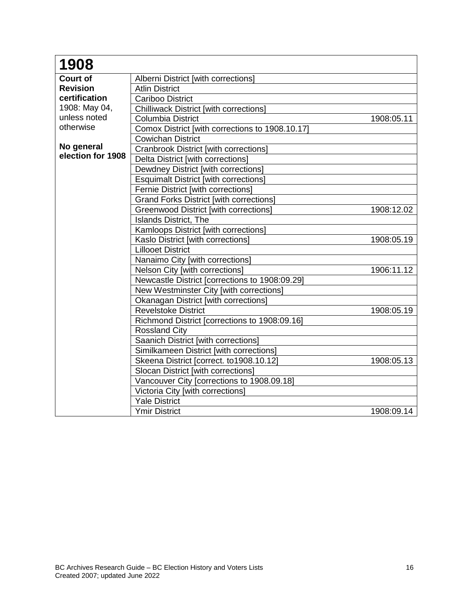| 1908              |                                                 |            |
|-------------------|-------------------------------------------------|------------|
| <b>Court of</b>   | Alberni District [with corrections]             |            |
| <b>Revision</b>   | <b>Atlin District</b>                           |            |
| certification     | <b>Cariboo District</b>                         |            |
| 1908: May 04,     | <b>Chilliwack District [with corrections]</b>   |            |
| unless noted      | <b>Columbia District</b>                        | 1908:05.11 |
| otherwise         | Comox District [with corrections to 1908.10.17] |            |
|                   | <b>Cowichan District</b>                        |            |
| No general        | Cranbrook District [with corrections]           |            |
| election for 1908 | Delta District [with corrections]               |            |
|                   | Dewdney District [with corrections]             |            |
|                   | <b>Esquimalt District [with corrections]</b>    |            |
|                   | Fernie District [with corrections]              |            |
|                   | <b>Grand Forks District [with corrections]</b>  |            |
|                   | Greenwood District [with corrections]           | 1908:12.02 |
|                   | <b>Islands District, The</b>                    |            |
|                   | Kamloops District [with corrections]            |            |
|                   | Kaslo District [with corrections]               | 1908:05.19 |
|                   | <b>Lillooet District</b>                        |            |
|                   | Nanaimo City [with corrections]                 |            |
|                   | Nelson City [with corrections]                  | 1906:11.12 |
|                   | Newcastle District [corrections to 1908:09.29]  |            |
|                   | New Westminster City [with corrections]         |            |
|                   | Okanagan District [with corrections]            |            |
|                   | <b>Revelstoke District</b>                      | 1908:05.19 |
|                   | Richmond District [corrections to 1908:09.16]   |            |
|                   | Rossland City                                   |            |
|                   | Saanich District [with corrections]             |            |
|                   | Similkameen District [with corrections]         |            |
|                   | Skeena District [correct. to1908.10.12]         | 1908:05.13 |
|                   | Slocan District [with corrections]              |            |
|                   | Vancouver City [corrections to 1908.09.18]      |            |
|                   | Victoria City [with corrections]                |            |
|                   | <b>Yale District</b>                            |            |
|                   | <b>Ymir District</b>                            | 1908:09.14 |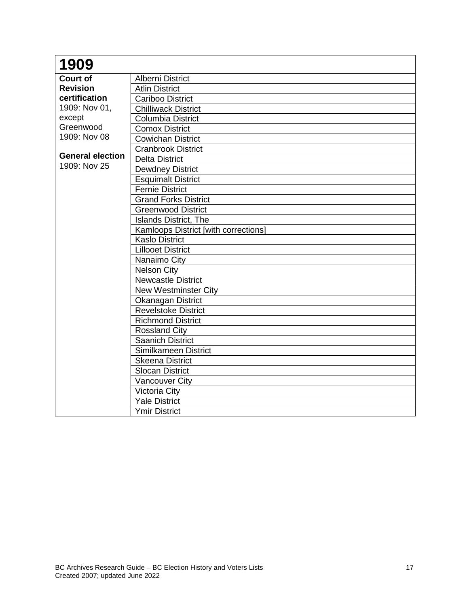| 1909                    |                                      |
|-------------------------|--------------------------------------|
| <b>Court of</b>         | <b>Alberni District</b>              |
| <b>Revision</b>         | <b>Atlin District</b>                |
| certification           | <b>Cariboo District</b>              |
| 1909: Nov 01,           | <b>Chilliwack District</b>           |
| except                  | <b>Columbia District</b>             |
| Greenwood               | <b>Comox District</b>                |
| 1909: Nov 08            | <b>Cowichan District</b>             |
|                         | <b>Cranbrook District</b>            |
| <b>General election</b> | <b>Delta District</b>                |
| 1909: Nov 25            | <b>Dewdney District</b>              |
|                         | <b>Esquimalt District</b>            |
|                         | <b>Fernie District</b>               |
|                         | <b>Grand Forks District</b>          |
|                         | <b>Greenwood District</b>            |
|                         | <b>Islands District, The</b>         |
|                         | Kamloops District [with corrections] |
|                         | <b>Kaslo District</b>                |
|                         | <b>Lillooet District</b>             |
|                         | Nanaimo City                         |
|                         | <b>Nelson City</b>                   |
|                         | Newcastle District                   |
|                         | <b>New Westminster City</b>          |
|                         | Okanagan District                    |
|                         | <b>Revelstoke District</b>           |
|                         | <b>Richmond District</b>             |
|                         | <b>Rossland City</b>                 |
|                         | <b>Saanich District</b>              |
|                         | Similkameen District                 |
|                         | <b>Skeena District</b>               |
|                         | <b>Slocan District</b>               |
|                         | <b>Vancouver City</b>                |
|                         | <b>Victoria City</b>                 |
|                         | <b>Yale District</b>                 |
|                         | <b>Ymir District</b>                 |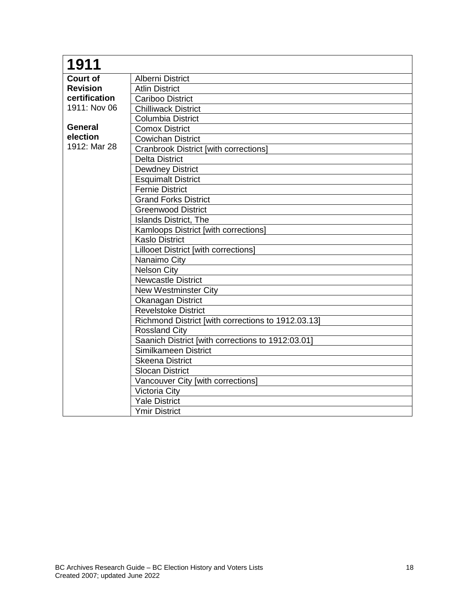| 1911            |                                                    |
|-----------------|----------------------------------------------------|
| <b>Court of</b> | <b>Alberni District</b>                            |
| <b>Revision</b> | <b>Atlin District</b>                              |
| certification   | <b>Cariboo District</b>                            |
| 1911: Nov 06    | <b>Chilliwack District</b>                         |
|                 | <b>Columbia District</b>                           |
| <b>General</b>  | <b>Comox District</b>                              |
| election        | <b>Cowichan District</b>                           |
| 1912: Mar 28    | Cranbrook District [with corrections]              |
|                 | <b>Delta District</b>                              |
|                 | <b>Dewdney District</b>                            |
|                 | <b>Esquimalt District</b>                          |
|                 | <b>Fernie District</b>                             |
|                 | <b>Grand Forks District</b>                        |
|                 | <b>Greenwood District</b>                          |
|                 | <b>Islands District, The</b>                       |
|                 | Kamloops District [with corrections]               |
|                 | <b>Kaslo District</b>                              |
|                 | <b>Lillooet District [with corrections]</b>        |
|                 | Nanaimo City                                       |
|                 | <b>Nelson City</b>                                 |
|                 | <b>Newcastle District</b>                          |
|                 | <b>New Westminster City</b>                        |
|                 | Okanagan District                                  |
|                 | <b>Revelstoke District</b>                         |
|                 | Richmond District [with corrections to 1912.03.13] |
|                 | <b>Rossland City</b>                               |
|                 | Saanich District [with corrections to 1912:03.01]  |
|                 | Similkameen District                               |
|                 | <b>Skeena District</b>                             |
|                 | <b>Slocan District</b>                             |
|                 | Vancouver City [with corrections]                  |
|                 | <b>Victoria City</b>                               |
|                 | <b>Yale District</b>                               |
|                 | <b>Ymir District</b>                               |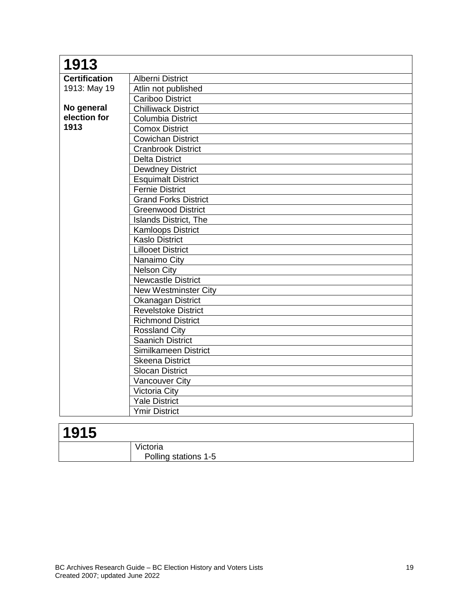| 1913                 |                              |
|----------------------|------------------------------|
| <b>Certification</b> | Alberni District             |
| 1913: May 19         | Atlin not published          |
|                      | <b>Cariboo District</b>      |
| No general           | <b>Chilliwack District</b>   |
| election for         | <b>Columbia District</b>     |
| 1913                 | <b>Comox District</b>        |
|                      | <b>Cowichan District</b>     |
|                      | <b>Cranbrook District</b>    |
|                      | <b>Delta District</b>        |
|                      | <b>Dewdney District</b>      |
|                      | <b>Esquimalt District</b>    |
|                      | <b>Fernie District</b>       |
|                      | <b>Grand Forks District</b>  |
|                      | <b>Greenwood District</b>    |
|                      | <b>Islands District, The</b> |
|                      | <b>Kamloops District</b>     |
|                      | <b>Kaslo District</b>        |
|                      | <b>Lillooet District</b>     |
|                      | Nanaimo City                 |
|                      | <b>Nelson City</b>           |
|                      | <b>Newcastle District</b>    |
|                      | <b>New Westminster City</b>  |
|                      | Okanagan District            |
|                      | <b>Revelstoke District</b>   |
|                      | <b>Richmond District</b>     |
|                      | <b>Rossland City</b>         |
|                      | <b>Saanich District</b>      |
|                      | Similkameen District         |
|                      | <b>Skeena District</b>       |
|                      | <b>Slocan District</b>       |
|                      | <b>Vancouver City</b>        |
|                      | <b>Victoria City</b>         |
|                      | <b>Yale District</b>         |
|                      | <b>Ymir District</b>         |
| 1 N A E              |                              |

| Victoria             |
|----------------------|
| Polling stations 1-5 |
|                      |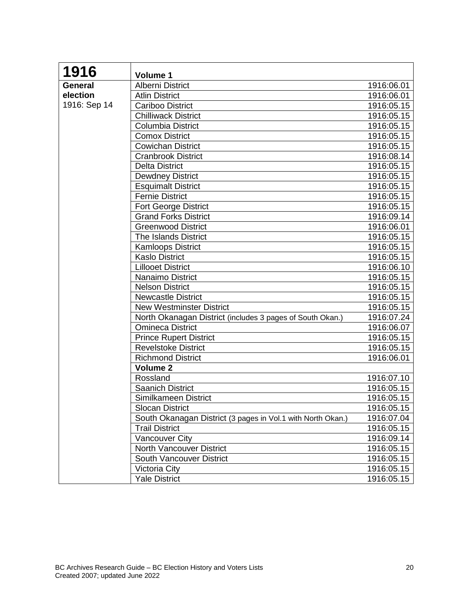| 1916           | <b>Volume 1</b>                                             |            |
|----------------|-------------------------------------------------------------|------------|
| <b>General</b> | <b>Alberni District</b>                                     | 1916:06.01 |
| election       | <b>Atlin District</b>                                       | 1916:06.01 |
| 1916: Sep 14   | <b>Cariboo District</b>                                     | 1916:05.15 |
|                | <b>Chilliwack District</b>                                  | 1916:05.15 |
|                | <b>Columbia District</b>                                    | 1916:05.15 |
|                | <b>Comox District</b>                                       | 1916:05.15 |
|                | <b>Cowichan District</b>                                    | 1916:05.15 |
|                | <b>Cranbrook District</b>                                   | 1916:08.14 |
|                | <b>Delta District</b>                                       | 1916:05.15 |
|                | <b>Dewdney District</b>                                     | 1916:05.15 |
|                | <b>Esquimalt District</b>                                   | 1916:05.15 |
|                | <b>Fernie District</b>                                      | 1916:05.15 |
|                |                                                             | 1916:05.15 |
|                | <b>Fort George District</b><br><b>Grand Forks District</b>  | 1916:09.14 |
|                | <b>Greenwood District</b>                                   | 1916:06.01 |
|                | The Islands District                                        | 1916:05.15 |
|                |                                                             |            |
|                | <b>Kamloops District</b><br><b>Kaslo District</b>           | 1916:05.15 |
|                |                                                             | 1916:05.15 |
|                | <b>Lillooet District</b>                                    | 1916:06.10 |
|                | Nanaimo District                                            | 1916:05.15 |
|                | <b>Nelson District</b>                                      | 1916:05.15 |
|                | <b>Newcastle District</b>                                   | 1916:05.15 |
|                | <b>New Westminster District</b>                             | 1916:05.15 |
|                | North Okanagan District (includes 3 pages of South Okan.)   | 1916:07.24 |
|                | <b>Omineca District</b>                                     | 1916:06.07 |
|                | <b>Prince Rupert District</b>                               | 1916:05.15 |
|                | <b>Revelstoke District</b>                                  | 1916:05.15 |
|                | <b>Richmond District</b>                                    | 1916:06.01 |
|                | <b>Volume 2</b>                                             |            |
|                | Rossland                                                    | 1916:07.10 |
|                | <b>Saanich District</b>                                     | 1916:05.15 |
|                | Similkameen District                                        | 1916:05.15 |
|                | <b>Slocan District</b>                                      | 1916:05.15 |
|                | South Okanagan District (3 pages in Vol.1 with North Okan.) | 1916:07.04 |
|                | <b>Trail District</b>                                       | 1916:05.15 |
|                | <b>Vancouver City</b>                                       | 1916:09.14 |
|                | <b>North Vancouver District</b>                             | 1916:05.15 |
|                | South Vancouver District                                    | 1916:05.15 |
|                | <b>Victoria City</b>                                        | 1916:05.15 |
|                | <b>Yale District</b>                                        | 1916:05.15 |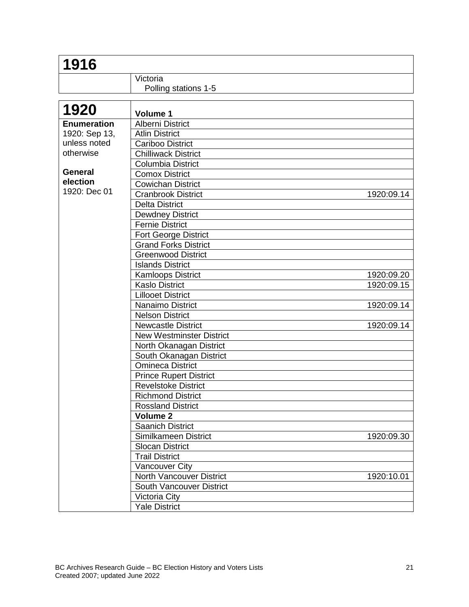| 1916               |                                 |            |
|--------------------|---------------------------------|------------|
|                    | Victoria                        |            |
|                    | Polling stations 1-5            |            |
|                    |                                 |            |
| 1920               | Volume 1                        |            |
| <b>Enumeration</b> | <b>Alberni District</b>         |            |
| 1920: Sep 13,      | <b>Atlin District</b>           |            |
| unless noted       | <b>Cariboo District</b>         |            |
| otherwise          | <b>Chilliwack District</b>      |            |
|                    | <b>Columbia District</b>        |            |
| <b>General</b>     | <b>Comox District</b>           |            |
| election           | <b>Cowichan District</b>        |            |
| 1920: Dec 01       | <b>Cranbrook District</b>       | 1920:09.14 |
|                    | <b>Delta District</b>           |            |
|                    | <b>Dewdney District</b>         |            |
|                    | <b>Fernie District</b>          |            |
|                    | <b>Fort George District</b>     |            |
|                    | <b>Grand Forks District</b>     |            |
|                    | <b>Greenwood District</b>       |            |
|                    | <b>Islands District</b>         |            |
|                    | <b>Kamloops District</b>        | 1920:09.20 |
|                    | <b>Kaslo District</b>           | 1920:09.15 |
|                    | <b>Lillooet District</b>        |            |
|                    | Nanaimo District                | 1920:09.14 |
|                    | <b>Nelson District</b>          |            |
|                    | <b>Newcastle District</b>       | 1920:09.14 |
|                    | <b>New Westminster District</b> |            |
|                    | North Okanagan District         |            |
|                    | South Okanagan District         |            |
|                    | <b>Omineca District</b>         |            |
|                    | <b>Prince Rupert District</b>   |            |
|                    | <b>Revelstoke District</b>      |            |
|                    | <b>Richmond District</b>        |            |
|                    | <b>Rossland District</b>        |            |
|                    | <b>Volume 2</b>                 |            |
|                    | Saanich District                |            |
|                    | Similkameen District            | 1920:09.30 |
|                    | <b>Slocan District</b>          |            |
|                    | <b>Trail District</b>           |            |
|                    | <b>Vancouver City</b>           |            |
|                    | <b>North Vancouver District</b> | 1920:10.01 |
|                    | South Vancouver District        |            |
|                    | Victoria City                   |            |
|                    | <b>Yale District</b>            |            |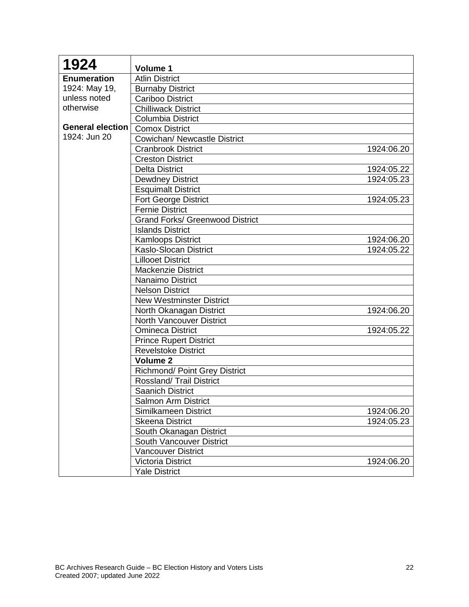| 1924                    | <b>Volume 1</b>                        |            |
|-------------------------|----------------------------------------|------------|
| <b>Enumeration</b>      | <b>Atlin District</b>                  |            |
| 1924: May 19,           | <b>Burnaby District</b>                |            |
| unless noted            | Cariboo District                       |            |
| otherwise               | <b>Chilliwack District</b>             |            |
|                         | Columbia District                      |            |
| <b>General election</b> | <b>Comox District</b>                  |            |
| 1924: Jun 20            | Cowichan/ Newcastle District           |            |
|                         | <b>Cranbrook District</b>              | 1924:06.20 |
|                         | <b>Creston District</b>                |            |
|                         | <b>Delta District</b>                  | 1924:05.22 |
|                         | <b>Dewdney District</b>                | 1924:05.23 |
|                         | <b>Esquimalt District</b>              |            |
|                         | <b>Fort George District</b>            | 1924:05.23 |
|                         | <b>Fernie District</b>                 |            |
|                         | <b>Grand Forks/ Greenwood District</b> |            |
|                         | <b>Islands District</b>                |            |
|                         | <b>Kamloops District</b>               | 1924:06.20 |
|                         | <b>Kaslo-Slocan District</b>           | 1924:05.22 |
|                         | <b>Lillooet District</b>               |            |
|                         | <b>Mackenzie District</b>              |            |
|                         | Nanaimo District                       |            |
|                         | <b>Nelson District</b>                 |            |
|                         | <b>New Westminster District</b>        |            |
|                         | North Okanagan District                | 1924:06.20 |
|                         | <b>North Vancouver District</b>        |            |
|                         | <b>Omineca District</b>                | 1924:05.22 |
|                         | <b>Prince Rupert District</b>          |            |
|                         | <b>Revelstoke District</b>             |            |
|                         | <b>Volume 2</b>                        |            |
|                         | <b>Richmond/ Point Grey District</b>   |            |
|                         | <b>Rossland/ Trail District</b>        |            |
|                         | <b>Saanich District</b>                |            |
|                         | Salmon Arm District                    |            |
|                         | Similkameen District                   | 1924:06.20 |
|                         | <b>Skeena District</b>                 | 1924:05.23 |
|                         | South Okanagan District                |            |
|                         | South Vancouver District               |            |
|                         | Vancouver District                     |            |
|                         | <b>Victoria District</b>               | 1924:06.20 |
|                         | <b>Yale District</b>                   |            |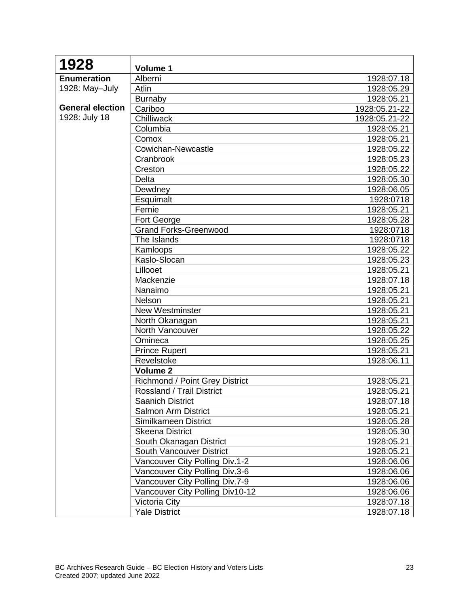| 1928                    | Volume 1                        |               |
|-------------------------|---------------------------------|---------------|
| <b>Enumeration</b>      | Alberni                         | 1928:07.18    |
| 1928: May-July          | Atlin                           | 1928:05.29    |
|                         | <b>Burnaby</b>                  | 1928:05.21    |
| <b>General election</b> | Cariboo                         | 1928:05.21-22 |
| 1928: July 18           | Chilliwack                      | 1928:05.21-22 |
|                         | Columbia                        | 1928:05.21    |
|                         | Comox                           | 1928:05.21    |
|                         | Cowichan-Newcastle              | 1928:05.22    |
|                         | Cranbrook                       | 1928:05.23    |
|                         | Creston                         | 1928:05.22    |
|                         | <b>Delta</b>                    | 1928:05.30    |
|                         | Dewdney                         | 1928:06.05    |
|                         | Esquimalt                       | 1928:0718     |
|                         | Fernie                          | 1928:05.21    |
|                         | Fort George                     | 1928:05.28    |
|                         | <b>Grand Forks-Greenwood</b>    | 1928:0718     |
|                         | The Islands                     | 1928:0718     |
|                         | Kamloops                        | 1928:05.22    |
|                         | Kaslo-Slocan                    | 1928:05.23    |
|                         | Lillooet                        | 1928:05.21    |
|                         | Mackenzie                       | 1928:07.18    |
|                         | Nanaimo                         | 1928:05.21    |
|                         | Nelson                          | 1928:05.21    |
|                         | <b>New Westminster</b>          | 1928:05.21    |
|                         | North Okanagan                  | 1928:05.21    |
|                         | North Vancouver                 | 1928:05.22    |
|                         | Omineca                         | 1928:05.25    |
|                         | <b>Prince Rupert</b>            | 1928:05.21    |
|                         | Revelstoke                      | 1928:06.11    |
|                         | Volume 2                        |               |
|                         | Richmond / Point Grey District  | 1928:05.21    |
|                         | Rossland / Trail District       | 1928:05.21    |
|                         | <b>Saanich District</b>         | 1928:07.18    |
|                         | <b>Salmon Arm District</b>      | 1928:05.21    |
|                         | Similkameen District            | 1928:05.28    |
|                         | <b>Skeena District</b>          | 1928:05.30    |
|                         | South Okanagan District         | 1928:05.21    |
|                         | South Vancouver District        | 1928:05.21    |
|                         | Vancouver City Polling Div.1-2  | 1928:06.06    |
|                         | Vancouver City Polling Div.3-6  | 1928:06.06    |
|                         | Vancouver City Polling Div.7-9  | 1928:06.06    |
|                         | Vancouver City Polling Div10-12 | 1928:06.06    |
|                         | <b>Victoria City</b>            | 1928:07.18    |
|                         | <b>Yale District</b>            | 1928:07.18    |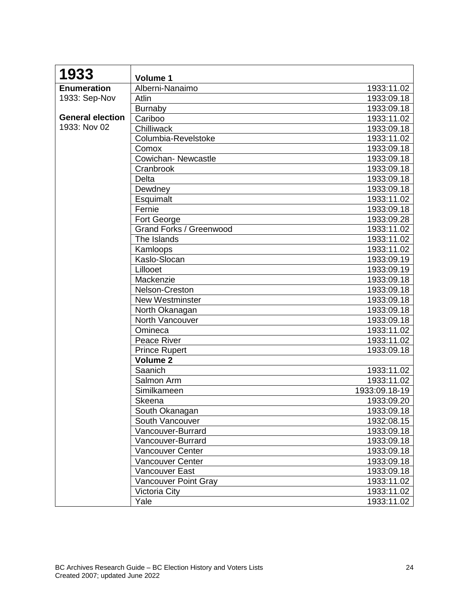| 1933                    | Volume 1                       |               |
|-------------------------|--------------------------------|---------------|
| <b>Enumeration</b>      | Alberni-Nanaimo                | 1933:11.02    |
| 1933: Sep-Nov           | Atlin                          | 1933:09.18    |
|                         | <b>Burnaby</b>                 | 1933:09.18    |
| <b>General election</b> | Cariboo                        | 1933:11.02    |
| 1933: Nov 02            | Chilliwack                     | 1933:09.18    |
|                         | Columbia-Revelstoke            | 1933:11.02    |
|                         | Comox                          | 1933:09.18    |
|                         | Cowichan- Newcastle            | 1933:09.18    |
|                         | Cranbrook                      | 1933:09.18    |
|                         | <b>Delta</b>                   | 1933:09.18    |
|                         | Dewdney                        | 1933:09.18    |
|                         | Esquimalt                      | 1933:11.02    |
|                         | Fernie                         | 1933:09.18    |
|                         | Fort George                    | 1933:09.28    |
|                         | <b>Grand Forks / Greenwood</b> | 1933:11.02    |
|                         | The Islands                    | 1933:11.02    |
|                         | Kamloops                       | 1933:11.02    |
|                         | Kaslo-Slocan                   | 1933:09.19    |
|                         | Lillooet                       | 1933:09.19    |
|                         | Mackenzie                      | 1933:09.18    |
|                         | Nelson-Creston                 | 1933:09.18    |
|                         | <b>New Westminster</b>         | 1933:09.18    |
|                         | North Okanagan                 | 1933:09.18    |
|                         | North Vancouver                | 1933:09.18    |
|                         | Omineca                        | 1933:11.02    |
|                         | Peace River                    | 1933:11.02    |
|                         | <b>Prince Rupert</b>           | 1933:09.18    |
|                         | Volume <sub>2</sub>            |               |
|                         | Saanich                        | 1933:11.02    |
|                         | Salmon Arm                     | 1933:11.02    |
|                         | Similkameen                    | 1933:09.18-19 |
|                         | Skeena                         | 1933:09.20    |
|                         | South Okanagan                 | 1933:09.18    |
|                         | South Vancouver                | 1932:08.15    |
|                         | Vancouver-Burrard              | 1933:09.18    |
|                         | Vancouver-Burrard              | 1933:09.18    |
|                         | <b>Vancouver Center</b>        | 1933:09.18    |
|                         | Vancouver Center               | 1933:09.18    |
|                         | <b>Vancouver East</b>          | 1933:09.18    |
|                         | <b>Vancouver Point Gray</b>    | 1933:11.02    |
|                         | <b>Victoria City</b>           | 1933:11.02    |
|                         | Yale                           | 1933:11.02    |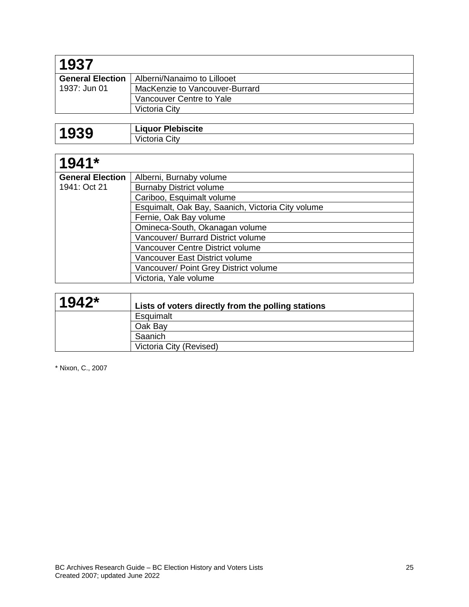| 1937                    |                                                   |
|-------------------------|---------------------------------------------------|
| <b>General Election</b> | Alberni/Nanaimo to Lillooet                       |
| 1937: Jun 01            | MacKenzie to Vancouver-Burrard                    |
|                         | Vancouver Centre to Yale                          |
|                         | Victoria City                                     |
|                         |                                                   |
| 1939                    | <b>Liquor Plebiscite</b>                          |
|                         | <b>Victoria City</b>                              |
|                         |                                                   |
| 1941*                   |                                                   |
| <b>General Election</b> | Alberni, Burnaby volume                           |
| 1941: Oct 21            | <b>Burnaby District volume</b>                    |
|                         | Cariboo, Esquimalt volume                         |
|                         | Esquimalt, Oak Bay, Saanich, Victoria City volume |
|                         | Fernie, Oak Bay volume                            |
|                         | Omineca-South, Okanagan volume                    |
|                         | Vancouver/ Burrard District volume                |
|                         | Vancouver Centre District volume                  |
|                         | Vancouver East District volume                    |
|                         | Vancouver/ Point Grey District volume             |
|                         | Victoria, Yale volume                             |

| $1942*$ | Lists of voters directly from the polling stations |
|---------|----------------------------------------------------|
|         | Esquimalt                                          |
|         | Oak Bay                                            |
|         | Saanich                                            |
|         | Victoria City (Revised)                            |

\* Nixon, C., 2007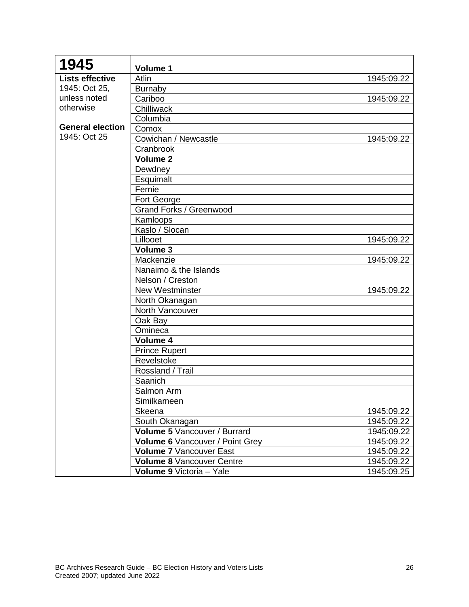| 1945                    | Volume 1                               |            |
|-------------------------|----------------------------------------|------------|
| <b>Lists effective</b>  | Atlin                                  | 1945:09.22 |
| 1945: Oct 25,           | <b>Burnaby</b>                         |            |
| unless noted            | Cariboo                                | 1945:09.22 |
| otherwise               | Chilliwack                             |            |
|                         | Columbia                               |            |
| <b>General election</b> | Comox                                  |            |
| 1945: Oct 25            | Cowichan / Newcastle                   | 1945:09.22 |
|                         | Cranbrook                              |            |
|                         | <b>Volume 2</b>                        |            |
|                         | Dewdney                                |            |
|                         | Esquimalt                              |            |
|                         | Fernie                                 |            |
|                         | Fort George                            |            |
|                         | <b>Grand Forks / Greenwood</b>         |            |
|                         | Kamloops                               |            |
|                         | Kaslo / Slocan                         |            |
|                         | Lillooet                               | 1945:09.22 |
|                         | Volume 3                               |            |
|                         | Mackenzie                              | 1945:09.22 |
|                         | Nanaimo & the Islands                  |            |
|                         | Nelson / Creston                       |            |
|                         | <b>New Westminster</b>                 | 1945:09.22 |
|                         | North Okanagan                         |            |
|                         | North Vancouver                        |            |
|                         | Oak Bay                                |            |
|                         | Omineca                                |            |
|                         | Volume 4                               |            |
|                         | <b>Prince Rupert</b>                   |            |
|                         | Revelstoke                             |            |
|                         | Rossland / Trail                       |            |
|                         | Saanich                                |            |
|                         | Salmon Arm                             |            |
|                         | Similkameen                            |            |
|                         | Skeena                                 | 1945:09.22 |
|                         | South Okanagan                         | 1945:09.22 |
|                         | Volume 5 Vancouver / Burrard           | 1945:09.22 |
|                         | <b>Volume 6 Vancouver / Point Grey</b> | 1945:09.22 |
|                         | <b>Volume 7 Vancouver East</b>         | 1945:09.22 |
|                         | Volume 8 Vancouver Centre              | 1945:09.22 |
|                         | Volume 9 Victoria - Yale               | 1945:09.25 |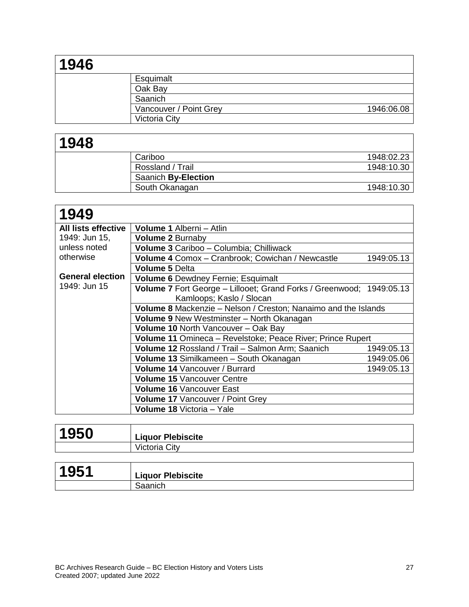| 1946 |                        |            |
|------|------------------------|------------|
|      | Esquimalt              |            |
|      | Oak Bay                |            |
|      | Saanich                |            |
|      | Vancouver / Point Grey | 1946:06.08 |
|      | Victoria City          |            |

|  | Cariboo             | 1948:02.23 |
|--|---------------------|------------|
|  | Rossland / Trail    | 1948:10.30 |
|  | Saanich By-Election |            |
|  | South Okanagan      | 1948:10.30 |

| 1949                       |                                                                      |            |
|----------------------------|----------------------------------------------------------------------|------------|
| <b>All lists effective</b> | <b>Volume 1</b> Alberni – Atlin                                      |            |
| 1949: Jun 15,              | <b>Volume 2 Burnaby</b>                                              |            |
| unless noted               | Volume 3 Cariboo - Columbia; Chilliwack                              |            |
| otherwise                  | Volume 4 Comox - Cranbrook; Cowichan / Newcastle                     | 1949:05.13 |
|                            | <b>Volume 5 Delta</b>                                                |            |
| <b>General election</b>    | <b>Volume 6 Dewdney Fernie; Esquimalt</b>                            |            |
| 1949: Jun 15               | Volume 7 Fort George - Lillooet; Grand Forks / Greenwood; 1949:05.13 |            |
|                            | Kamloops; Kaslo / Slocan                                             |            |
|                            | Volume 8 Mackenzie - Nelson / Creston; Nanaimo and the Islands       |            |
|                            | <b>Volume 9 New Westminster - North Okanagan</b>                     |            |
|                            | <b>Volume 10 North Vancouver - Oak Bay</b>                           |            |
|                            | <b>Volume 11</b> Omineca – Revelstoke; Peace River; Prince Rupert    |            |
|                            | Volume 12 Rossland / Trail - Salmon Arm; Saanich                     | 1949:05.13 |
|                            | Volume 13 Similkameen - South Okanagan                               | 1949:05.06 |
|                            | <b>Volume 14 Vancouver / Burrard</b>                                 | 1949:05.13 |
|                            | <b>Volume 15 Vancouver Centre</b>                                    |            |
|                            | <b>Volume 16 Vancouver East</b>                                      |            |
|                            | <b>Volume 17</b> Vancouver / Point Grey                              |            |
|                            | <b>Volume 18</b> Victoria - Yale                                     |            |

| 10E <sub>D</sub><br>1930 | <b>Liquor Plebiscite</b> |
|--------------------------|--------------------------|
|                          | City<br>Victoria         |

| 1951 | <b>Liquor Plebiscite</b> |
|------|--------------------------|
|      | saanich                  |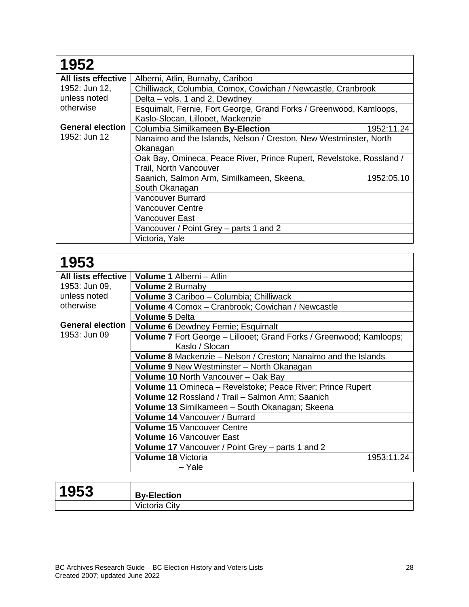| 1952                       |                                                                                                         |
|----------------------------|---------------------------------------------------------------------------------------------------------|
| <b>All lists effective</b> | Alberni, Atlin, Burnaby, Cariboo                                                                        |
| 1952: Jun 12,              | Chilliwack, Columbia, Comox, Cowichan / Newcastle, Cranbrook                                            |
| unless noted               | Delta – vols. 1 and 2, Dewdney                                                                          |
| otherwise                  | Esquimalt, Fernie, Fort George, Grand Forks / Greenwood, Kamloops,<br>Kaslo-Slocan, Lillooet, Mackenzie |
| <b>General election</b>    | 1952:11.24<br>Columbia Similkameen By-Election                                                          |
| 1952: Jun 12               | Nanaimo and the Islands, Nelson / Creston, New Westminster, North                                       |
|                            | Okanagan                                                                                                |
|                            | Oak Bay, Omineca, Peace River, Prince Rupert, Revelstoke, Rossland /                                    |
|                            | Trail, North Vancouver                                                                                  |
|                            | Saanich, Salmon Arm, Similkameen, Skeena,<br>1952:05.10                                                 |
|                            | South Okanagan                                                                                          |
|                            | Vancouver Burrard                                                                                       |
|                            | Vancouver Centre                                                                                        |
|                            | Vancouver East                                                                                          |
|                            | Vancouver / Point Grey - parts 1 and 2                                                                  |
|                            | Victoria, Yale                                                                                          |

| <b>Volume 1</b> Alberni – Atlin                                       |
|-----------------------------------------------------------------------|
| <b>Volume 2 Burnaby</b>                                               |
| Volume 3 Cariboo - Columbia; Chilliwack                               |
| Volume 4 Comox - Cranbrook; Cowichan / Newcastle                      |
| <b>Volume 5 Delta</b>                                                 |
| <b>Volume 6 Dewdney Fernie; Esquimalt</b>                             |
| Volume 7 Fort George - Lillooet; Grand Forks / Greenwood; Kamloops;   |
| Kaslo / Slocan                                                        |
| <b>Volume 8</b> Mackenzie – Nelson / Creston; Nanaimo and the Islands |
| <b>Volume 9 New Westminster - North Okanagan</b>                      |
| <b>Volume 10 North Vancouver - Oak Bay</b>                            |
| <b>Volume 11</b> Omineca – Revelstoke; Peace River; Prince Rupert     |
| <b>Volume 12 Rossland / Trail - Salmon Arm; Saanich</b>               |
| Volume 13 Similkameen - South Okanagan; Skeena                        |
| <b>Volume 14 Vancouver / Burrard</b>                                  |
| <b>Volume 15</b> Vancouver Centre                                     |
| <b>Volume 16 Vancouver East</b>                                       |
| <b>Volume 17</b> Vancouver / Point Grey – parts 1 and 2               |
| <b>Volume 18 Victoria</b><br>1953:11.24                               |
| – Yale                                                                |
|                                                                       |

| 1953 | <b>By-Election</b> |
|------|--------------------|
|      | Victoria City      |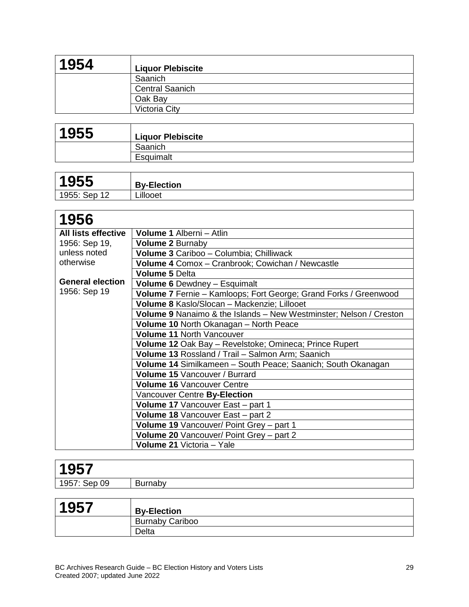| 1954 | <b>Liquor Plebiscite</b> |
|------|--------------------------|
|      | Saanich                  |
|      | <b>Central Saanich</b>   |
|      | Oak Bay                  |
|      | Victoria City            |

| 1955 | <b>Liquor Plebiscite</b> |
|------|--------------------------|
|      | Saanich                  |
|      | Esquimalt                |

| $A$ $A$ $F$ $F$<br>1955 | <b>By-Election</b> |
|-------------------------|--------------------|
| Sep 12<br>1955:         | _illooet           |

| 1956                    |                                                                           |
|-------------------------|---------------------------------------------------------------------------|
| All lists effective     | Volume 1 Alberni - Atlin                                                  |
| 1956: Sep 19,           | <b>Volume 2 Burnaby</b>                                                   |
| unless noted            | Volume 3 Cariboo - Columbia; Chilliwack                                   |
| otherwise               | Volume 4 Comox - Cranbrook; Cowichan / Newcastle                          |
|                         | <b>Volume 5 Delta</b>                                                     |
| <b>General election</b> | Volume 6 Dewdney - Esquimalt                                              |
| 1956: Sep 19            | Volume 7 Fernie - Kamloops; Fort George; Grand Forks / Greenwood          |
|                         | Volume 8 Kaslo/Slocan - Mackenzie; Lillooet                               |
|                         | <b>Volume 9</b> Nanaimo & the Islands - New Westminster; Nelson / Creston |
|                         | Volume 10 North Okanagan - North Peace                                    |
|                         | <b>Volume 11 North Vancouver</b>                                          |
|                         | Volume 12 Oak Bay - Revelstoke; Omineca; Prince Rupert                    |
|                         | Volume 13 Rossland / Trail - Salmon Arm; Saanich                          |
|                         | Volume 14 Similkameen - South Peace; Saanich; South Okanagan              |
|                         | <b>Volume 15 Vancouver / Burrard</b>                                      |
|                         | <b>Volume 16 Vancouver Centre</b>                                         |
|                         | Vancouver Centre By-Election                                              |
|                         | Volume 17 Vancouver East - part 1                                         |
|                         | Volume 18 Vancouver East - part 2                                         |
|                         | Volume 19 Vancouver/ Point Grey - part 1                                  |
|                         | Volume 20 Vancouver/ Point Grey - part 2                                  |
|                         | Volume 21 Victoria - Yale                                                 |

1957: Sep 09 | Burnaby

| 1957 | <b>By-Election</b>     |
|------|------------------------|
|      | <b>Burnaby Cariboo</b> |
|      | Delta                  |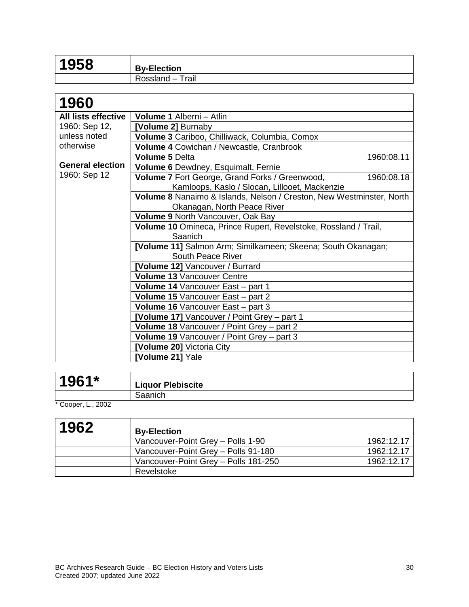| 1958 | <b>By-Election</b>  |
|------|---------------------|
|      | Trail<br>Rossland – |

| 1960                    |                                                                      |  |
|-------------------------|----------------------------------------------------------------------|--|
| All lists effective     | <b>Volume 1 Alberni - Atlin</b>                                      |  |
| 1960: Sep 12,           | [Volume 2] Burnaby                                                   |  |
| unless noted            | Volume 3 Cariboo, Chilliwack, Columbia, Comox                        |  |
| otherwise               | Volume 4 Cowichan / Newcastle, Cranbrook                             |  |
|                         | <b>Volume 5 Delta</b><br>1960:08.11                                  |  |
| <b>General election</b> | Volume 6 Dewdney, Esquimalt, Fernie                                  |  |
| 1960: Sep 12            | Volume 7 Fort George, Grand Forks / Greenwood,<br>1960:08.18         |  |
|                         | Kamloops, Kaslo / Slocan, Lillooet, Mackenzie                        |  |
|                         | Volume 8 Nanaimo & Islands, Nelson / Creston, New Westminster, North |  |
|                         | Okanagan, North Peace River                                          |  |
|                         | Volume 9 North Vancouver, Oak Bay                                    |  |
|                         | Volume 10 Omineca, Prince Rupert, Revelstoke, Rossland / Trail,      |  |
|                         | Saanich                                                              |  |
|                         | [Volume 11] Salmon Arm; Similkameen; Skeena; South Okanagan;         |  |
|                         | South Peace River                                                    |  |
|                         | [Volume 12] Vancouver / Burrard                                      |  |
|                         | Volume 13 Vancouver Centre                                           |  |
|                         | Volume 14 Vancouver East - part 1                                    |  |
|                         | Volume 15 Vancouver East - part 2                                    |  |
|                         | Volume 16 Vancouver East - part 3                                    |  |
|                         | [Volume 17] Vancouver / Point Grey - part 1                          |  |
|                         | Volume 18 Vancouver / Point Grey - part 2                            |  |
|                         | Volume 19 Vancouver / Point Grey - part 3                            |  |
|                         | [Volume 20] Victoria City                                            |  |
|                         | <b>[Volume 21]</b> Yale                                              |  |

| 1961*             | <b>Liquor Plebiscite</b> |
|-------------------|--------------------------|
|                   | Saanıch                  |
| מ∩מ<br>$*$ Cooper |                          |

Cooper, L., 2002

| 1962 | <b>By-Election</b>                   |            |
|------|--------------------------------------|------------|
|      | Vancouver-Point Grey - Polls 1-90    | 1962:12.17 |
|      | Vancouver-Point Grey - Polls 91-180  | 1962:12.17 |
|      | Vancouver-Point Grey - Polls 181-250 | 1962:12.17 |
|      | Revelstoke                           |            |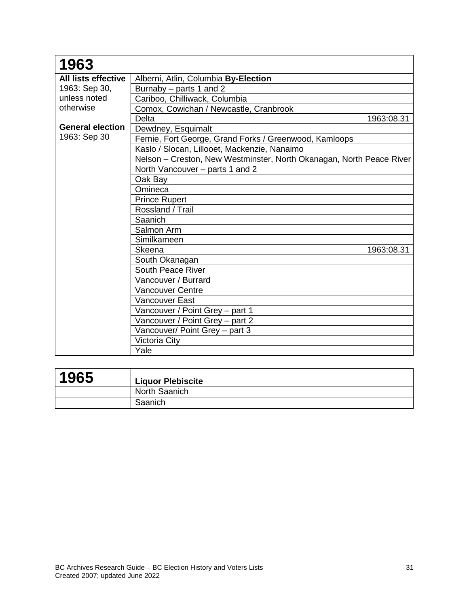| 1963                       |                                                                      |            |
|----------------------------|----------------------------------------------------------------------|------------|
| <b>All lists effective</b> | Alberni, Atlin, Columbia By-Election                                 |            |
| 1963: Sep 30,              | Burnaby $-$ parts 1 and 2                                            |            |
| unless noted               | Cariboo, Chilliwack, Columbia                                        |            |
| otherwise                  | Comox, Cowichan / Newcastle, Cranbrook                               |            |
|                            | Delta                                                                | 1963:08.31 |
| <b>General election</b>    | Dewdney, Esquimalt                                                   |            |
| 1963: Sep 30               | Fernie, Fort George, Grand Forks / Greenwood, Kamloops               |            |
|                            | Kaslo / Slocan, Lillooet, Mackenzie, Nanaimo                         |            |
|                            | Nelson - Creston, New Westminster, North Okanagan, North Peace River |            |
|                            | North Vancouver - parts 1 and 2                                      |            |
|                            | Oak Bay                                                              |            |
|                            | Omineca                                                              |            |
|                            | <b>Prince Rupert</b>                                                 |            |
|                            | Rossland / Trail                                                     |            |
|                            | Saanich                                                              |            |
|                            | Salmon Arm                                                           |            |
|                            | Similkameen                                                          |            |
|                            | Skeena                                                               | 1963:08.31 |
|                            | South Okanagan                                                       |            |
|                            | South Peace River                                                    |            |
|                            | Vancouver / Burrard                                                  |            |
|                            | <b>Vancouver Centre</b>                                              |            |
|                            | <b>Vancouver East</b>                                                |            |
|                            | Vancouver / Point Grey - part 1                                      |            |
|                            | Vancouver / Point Grey - part 2                                      |            |
|                            | Vancouver/ Point Grey - part 3                                       |            |
|                            | <b>Victoria City</b>                                                 |            |
|                            | Yale                                                                 |            |

| 1965 | <b>Liquor Plebiscite</b> |
|------|--------------------------|
|      | <b>North Saanich</b>     |
|      | Saanich                  |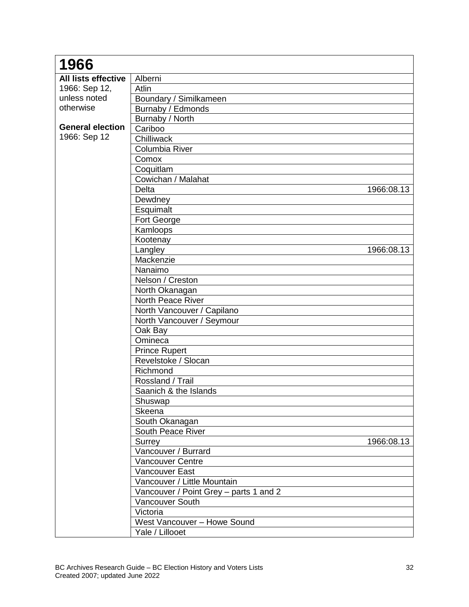| 1966                       |                                        |            |
|----------------------------|----------------------------------------|------------|
| <b>All lists effective</b> | Alberni                                |            |
| 1966: Sep 12,              | Atlin                                  |            |
| unless noted               | Boundary / Similkameen                 |            |
| otherwise                  | Burnaby / Edmonds                      |            |
|                            | Burnaby / North                        |            |
| <b>General election</b>    | Cariboo                                |            |
| 1966: Sep 12               | Chilliwack                             |            |
|                            | Columbia River                         |            |
|                            | Comox                                  |            |
|                            | Coquitlam                              |            |
|                            | Cowichan / Malahat                     |            |
|                            | <b>Delta</b>                           | 1966:08.13 |
|                            | Dewdney                                |            |
|                            | Esquimalt                              |            |
|                            | Fort George                            |            |
|                            | Kamloops                               |            |
|                            | Kootenay                               |            |
|                            | Langley                                | 1966:08.13 |
|                            | Mackenzie                              |            |
|                            | Nanaimo                                |            |
|                            | Nelson / Creston                       |            |
|                            | North Okanagan                         |            |
|                            | <b>North Peace River</b>               |            |
|                            | North Vancouver / Capilano             |            |
|                            | North Vancouver / Seymour              |            |
|                            | Oak Bay                                |            |
|                            | Omineca                                |            |
|                            | <b>Prince Rupert</b>                   |            |
|                            | Revelstoke / Slocan                    |            |
|                            | Richmond                               |            |
|                            | Rossland / Trail                       |            |
|                            | Saanich & the Islands                  |            |
|                            | Shuswap                                |            |
|                            | Skeena                                 |            |
|                            | South Okanagan                         |            |
|                            | South Peace River                      |            |
|                            | Surrey                                 | 1966:08.13 |
|                            | Vancouver / Burrard                    |            |
|                            | <b>Vancouver Centre</b>                |            |
|                            | <b>Vancouver East</b>                  |            |
|                            | Vancouver / Little Mountain            |            |
|                            | Vancouver / Point Grey - parts 1 and 2 |            |
|                            | Vancouver South                        |            |
|                            | Victoria                               |            |
|                            | West Vancouver - Howe Sound            |            |
|                            | Yale / Lillooet                        |            |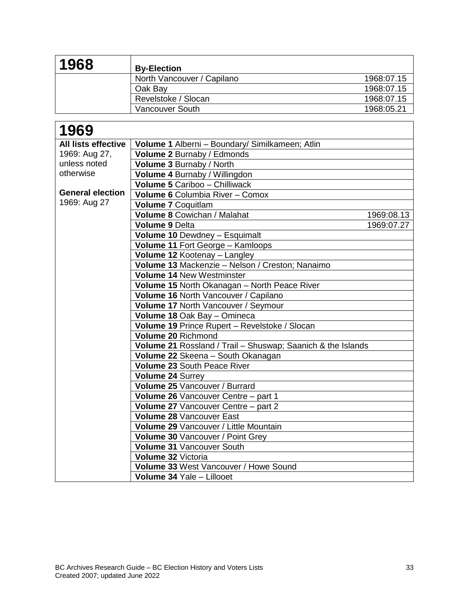| 1968 | <b>By-Election</b>         |            |
|------|----------------------------|------------|
|      | North Vancouver / Capilano | 1968:07.15 |
|      | Oak Bay                    | 1968:07.15 |
|      | Revelstoke / Slocan        | 1968:07.15 |
|      | Vancouver South            | 1968:05.21 |

### **1969 All lists effective** 1969: Aug 27, unless noted otherwise **General election** 1969: Aug 27 **Volume 1** Alberni – Boundary/ Similkameen; Atlin **Volume 2** Burnaby / Edmonds **Volume 3** Burnaby / North

| otherwise               | Volume 4 Burnaby / Willingdon                                          |            |
|-------------------------|------------------------------------------------------------------------|------------|
|                         | Volume 5 Cariboo - Chilliwack                                          |            |
| <b>General election</b> | <b>Volume 6 Columbia River - Comox</b>                                 |            |
| 1969: Aug 27            | <b>Volume 7 Coquitlam</b>                                              |            |
|                         | Volume 8 Cowichan / Malahat                                            | 1969:08.13 |
|                         | <b>Volume 9 Delta</b>                                                  | 1969:07.27 |
|                         | Volume 10 Dewdney - Esquimalt                                          |            |
|                         | <b>Volume 11 Fort George - Kamloops</b>                                |            |
|                         | Volume 12 Kootenay - Langley                                           |            |
|                         | Volume 13 Mackenzie - Nelson / Creston; Nanaimo                        |            |
|                         | <b>Volume 14 New Westminster</b>                                       |            |
|                         | Volume 15 North Okanagan - North Peace River                           |            |
|                         | Volume 16 North Vancouver / Capilano                                   |            |
|                         | Volume 17 North Vancouver / Seymour                                    |            |
|                         | Volume 18 Oak Bay - Omineca                                            |            |
|                         | Volume 19 Prince Rupert - Revelstoke / Slocan                          |            |
|                         | Volume 20 Richmond                                                     |            |
|                         | <b>Volume 21 Rossland / Trail - Shuswap; Saanich &amp; the Islands</b> |            |
|                         | Volume 22 Skeena - South Okanagan                                      |            |
|                         | <b>Volume 23 South Peace River</b>                                     |            |
|                         | <b>Volume 24 Surrey</b>                                                |            |
|                         | Volume 25 Vancouver / Burrard                                          |            |
|                         | Volume 26 Vancouver Centre - part 1                                    |            |
|                         | Volume 27 Vancouver Centre - part 2                                    |            |
|                         | <b>Volume 28 Vancouver East</b>                                        |            |
|                         | Volume 29 Vancouver / Little Mountain                                  |            |
|                         | <b>Volume 30 Vancouver / Point Grey</b>                                |            |
|                         | <b>Volume 31 Vancouver South</b>                                       |            |
|                         | Volume 32 Victoria                                                     |            |
|                         | Volume 33 West Vancouver / Howe Sound                                  |            |
|                         | Volume 34 Yale - Lillooet                                              |            |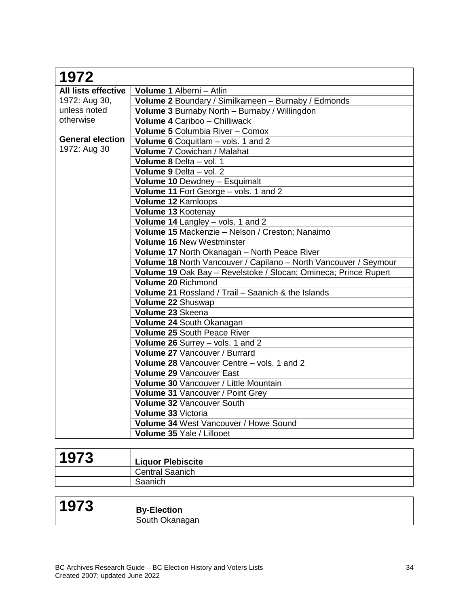| 1972                       |                                                                  |  |
|----------------------------|------------------------------------------------------------------|--|
| <b>All lists effective</b> | Volume 1 Alberni - Atlin                                         |  |
| 1972: Aug 30,              | Volume 2 Boundary / Similkameen - Burnaby / Edmonds              |  |
| unless noted               | Volume 3 Burnaby North - Burnaby / Willingdon                    |  |
| otherwise                  | Volume 4 Cariboo - Chilliwack                                    |  |
|                            | Volume 5 Columbia River - Comox                                  |  |
| <b>General election</b>    | Volume 6 Coquitlam - vols. 1 and 2                               |  |
| 1972: Aug 30               | Volume 7 Cowichan / Malahat                                      |  |
|                            | Volume 8 Delta - vol. 1                                          |  |
|                            | Volume 9 Delta - vol. 2                                          |  |
|                            | Volume 10 Dewdney - Esquimalt                                    |  |
|                            | Volume 11 Fort George - vols. 1 and 2                            |  |
|                            | Volume 12 Kamloops                                               |  |
|                            | Volume 13 Kootenay                                               |  |
|                            | Volume 14 Langley - vols. 1 and 2                                |  |
|                            | Volume 15 Mackenzie - Nelson / Creston; Nanaimo                  |  |
|                            | <b>Volume 16 New Westminster</b>                                 |  |
|                            | Volume 17 North Okanagan - North Peace River                     |  |
|                            | Volume 18 North Vancouver / Capilano - North Vancouver / Seymour |  |
|                            | Volume 19 Oak Bay - Revelstoke / Slocan; Omineca; Prince Rupert  |  |
|                            | Volume 20 Richmond                                               |  |
|                            | Volume 21 Rossland / Trail - Saanich & the Islands               |  |
|                            | Volume 22 Shuswap                                                |  |
|                            | Volume 23 Skeena                                                 |  |
|                            | Volume 24 South Okanagan                                         |  |
|                            | <b>Volume 25 South Peace River</b>                               |  |
|                            | Volume 26 Surrey - vols. 1 and 2                                 |  |
|                            | Volume 27 Vancouver / Burrard                                    |  |
|                            | <b>Volume 28</b> Vancouver Centre – vols. 1 and 2                |  |
|                            | <b>Volume 29 Vancouver East</b>                                  |  |
|                            | Volume 30 Vancouver / Little Mountain                            |  |
|                            | <b>Volume 31 Vancouver / Point Grey</b>                          |  |
|                            | <b>Volume 32 Vancouver South</b>                                 |  |
|                            | Volume 33 Victoria                                               |  |
|                            | Volume 34 West Vancouver / Howe Sound                            |  |
|                            | Volume 35 Yale / Lillooet                                        |  |

| 1973 | <b>Liquor Plebiscite</b> |
|------|--------------------------|
|      | <b>Central Saanich</b>   |
|      | Saanich                  |

| 1973 | <b>By-Election</b> |
|------|--------------------|
|      | South Okanagan     |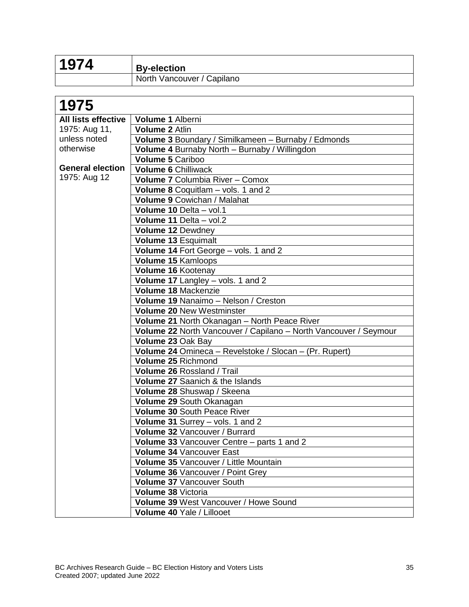| 1974 | <b>By-election</b>         |
|------|----------------------------|
|      | North Vancouver / Capilano |

| 1975                       |                                                                  |
|----------------------------|------------------------------------------------------------------|
| <b>All lists effective</b> | Volume 1 Alberni                                                 |
| 1975: Aug 11,              | <b>Volume 2 Atlin</b>                                            |
| unless noted               | Volume 3 Boundary / Similkameen - Burnaby / Edmonds              |
| otherwise                  | Volume 4 Burnaby North - Burnaby / Willingdon                    |
|                            | Volume 5 Cariboo                                                 |
| <b>General election</b>    | <b>Volume 6 Chilliwack</b>                                       |
| 1975: Aug 12               | Volume 7 Columbia River - Comox                                  |
|                            | Volume 8 Coquitlam - vols. 1 and 2                               |
|                            | Volume 9 Cowichan / Malahat                                      |
|                            | Volume 10 Delta - vol.1                                          |
|                            | Volume 11 Delta - vol.2                                          |
|                            | Volume 12 Dewdney                                                |
|                            | Volume 13 Esquimalt                                              |
|                            | Volume 14 Fort George - vols. 1 and 2                            |
|                            | Volume 15 Kamloops                                               |
|                            | Volume 16 Kootenay                                               |
|                            | Volume 17 Langley - vols. 1 and 2                                |
|                            | Volume 18 Mackenzie                                              |
|                            | Volume 19 Nanaimo - Nelson / Creston                             |
|                            | <b>Volume 20 New Westminster</b>                                 |
|                            | Volume 21 North Okanagan - North Peace River                     |
|                            | Volume 22 North Vancouver / Capilano - North Vancouver / Seymour |
|                            | Volume 23 Oak Bay                                                |
|                            | Volume 24 Omineca - Revelstoke / Slocan - (Pr. Rupert)           |
|                            | Volume 25 Richmond                                               |
|                            | Volume 26 Rossland / Trail                                       |
|                            | Volume 27 Saanich & the Islands                                  |
|                            | Volume 28 Shuswap / Skeena                                       |
|                            | Volume 29 South Okanagan                                         |
|                            | <b>Volume 30 South Peace River</b>                               |
|                            | Volume 31 Surrey - vols. 1 and 2                                 |
|                            | Volume 32 Vancouver / Burrard                                    |
|                            | Volume 33 Vancouver Centre - parts 1 and 2                       |
|                            | <b>Volume 34 Vancouver East</b>                                  |
|                            | Volume 35 Vancouver / Little Mountain                            |
|                            | <b>Volume 36 Vancouver / Point Grey</b>                          |
|                            | <b>Volume 37 Vancouver South</b>                                 |
|                            | Volume 38 Victoria                                               |
|                            | Volume 39 West Vancouver / Howe Sound                            |
|                            | Volume 40 Yale / Lillooet                                        |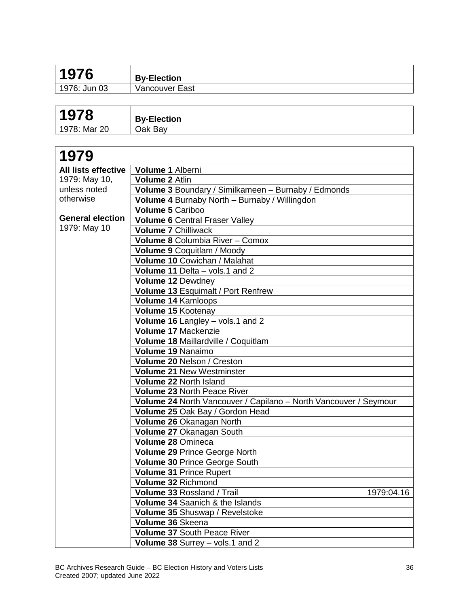| 1976         | <b>By-Election</b> |
|--------------|--------------------|
| 1976: Jun 03 | Vancouver East     |

| 1978         | <b>By-Election</b> |
|--------------|--------------------|
| 1978: Mar 20 | Oak Bay            |

| 1979                       |                                                                  |
|----------------------------|------------------------------------------------------------------|
| <b>All lists effective</b> | Volume 1 Alberni                                                 |
| 1979: May 10,              | <b>Volume 2 Atlin</b>                                            |
| unless noted               | Volume 3 Boundary / Similkameen - Burnaby / Edmonds              |
| otherwise                  | Volume 4 Burnaby North - Burnaby / Willingdon                    |
|                            | <b>Volume 5 Cariboo</b>                                          |
| <b>General election</b>    | <b>Volume 6 Central Fraser Valley</b>                            |
| 1979: May 10               | <b>Volume 7 Chilliwack</b>                                       |
|                            | Volume 8 Columbia River - Comox                                  |
|                            | Volume 9 Coquitlam / Moody                                       |
|                            | Volume 10 Cowichan / Malahat                                     |
|                            | <b>Volume 11 Delta - vols.1 and 2</b>                            |
|                            | Volume 12 Dewdney                                                |
|                            | Volume 13 Esquimalt / Port Renfrew                               |
|                            | <b>Volume 14 Kamloops</b>                                        |
|                            | Volume 15 Kootenay                                               |
|                            | Volume 16 Langley - vols.1 and 2                                 |
|                            | Volume 17 Mackenzie                                              |
|                            | Volume 18 Maillardville / Coquitlam                              |
|                            | Volume 19 Nanaimo                                                |
|                            | Volume 20 Nelson / Creston                                       |
|                            | <b>Volume 21 New Westminster</b>                                 |
|                            | Volume 22 North Island                                           |
|                            | <b>Volume 23 North Peace River</b>                               |
|                            | Volume 24 North Vancouver / Capilano - North Vancouver / Seymour |
|                            | Volume 25 Oak Bay / Gordon Head                                  |
|                            | Volume 26 Okanagan North                                         |
|                            | Volume 27 Okanagan South                                         |
|                            | <b>Volume 28 Omineca</b>                                         |
|                            | Volume 29 Prince George North                                    |
|                            | Volume 30 Prince George South                                    |
|                            | Volume 31 Prince Rupert                                          |
|                            | Volume 32 Richmond                                               |
|                            | Volume 33 Rossland / Trail<br>1979:04.16                         |
|                            | <b>Volume 34 Saanich &amp; the Islands</b>                       |
|                            | Volume 35 Shuswap / Revelstoke                                   |
|                            | Volume 36 Skeena                                                 |
|                            | <b>Volume 37 South Peace River</b>                               |
|                            | Volume 38 Surrey - vols.1 and 2                                  |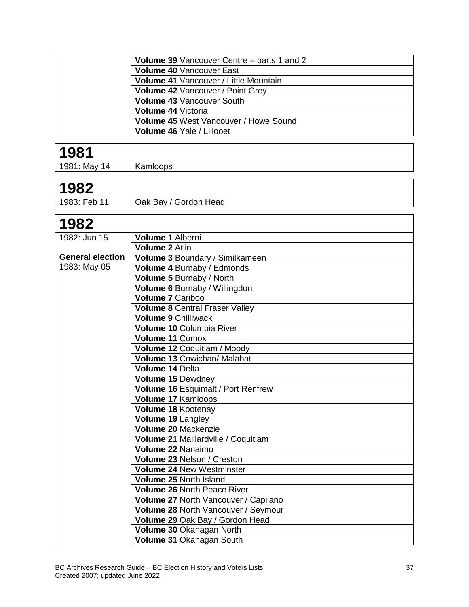| <b>Volume 39 Vancouver Centre – parts 1 and 2</b> |
|---------------------------------------------------|
| <b>Volume 40 Vancouver East</b>                   |
| Volume 41 Vancouver / Little Mountain             |
| <b>Volume 42 Vancouver / Point Grey</b>           |
| <b>Volume 43 Vancouver South</b>                  |
| <b>Volume 44 Victoria</b>                         |
| <b>Volume 45 West Vancouver / Howe Sound</b>      |
| <b>Volume 46 Yale / Lillooet</b>                  |

1981: May 14 | Kamloops

**1982**<br><sup>1983: Feb 11</sup>

Oak Bay / Gordon Head

| 1982: Jun 15            | Volume 1 Alberni                      |
|-------------------------|---------------------------------------|
|                         | <b>Volume 2 Atlin</b>                 |
| <b>General election</b> | Volume 3 Boundary / Similkameen       |
| 1983: May 05            | Volume 4 Burnaby / Edmonds            |
|                         | Volume 5 Burnaby / North              |
|                         | Volume 6 Burnaby / Willingdon         |
|                         | <b>Volume 7 Cariboo</b>               |
|                         | <b>Volume 8 Central Fraser Valley</b> |
|                         | <b>Volume 9 Chilliwack</b>            |
|                         | Volume 10 Columbia River              |
|                         | <b>Volume 11 Comox</b>                |
|                         | Volume 12 Coquitlam / Moody           |
|                         | Volume 13 Cowichan/ Malahat           |
|                         | Volume 14 Delta                       |
|                         | Volume 15 Dewdney                     |
|                         | Volume 16 Esquimalt / Port Renfrew    |
|                         | Volume 17 Kamloops                    |
|                         | Volume 18 Kootenay                    |
|                         | Volume 19 Langley                     |
|                         | Volume 20 Mackenzie                   |
|                         | Volume 21 Maillardville / Coquitlam   |
|                         | Volume 22 Nanaimo                     |
|                         | Volume 23 Nelson / Creston            |
|                         | <b>Volume 24 New Westminster</b>      |
|                         | Volume 25 North Island                |
|                         | <b>Volume 26 North Peace River</b>    |
|                         | Volume 27 North Vancouver / Capilano  |
|                         | Volume 28 North Vancouver / Seymour   |
|                         | Volume 29 Oak Bay / Gordon Head       |
|                         | Volume 30 Okanagan North              |
|                         | Volume 31 Okanagan South              |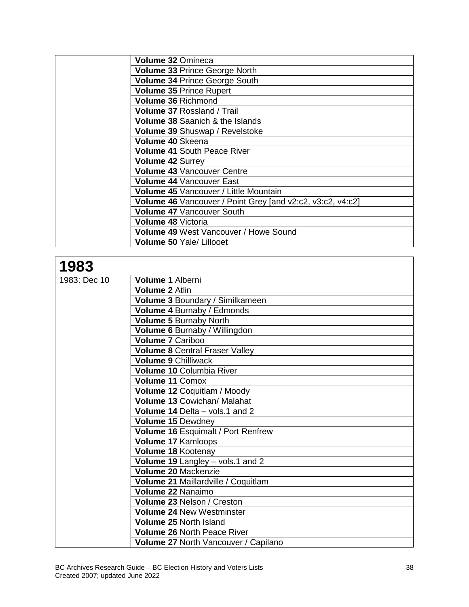| <b>Volume 32 Omineca</b>                                   |
|------------------------------------------------------------|
| <b>Volume 33 Prince George North</b>                       |
| Volume 34 Prince George South                              |
| <b>Volume 35 Prince Rupert</b>                             |
| <b>Volume 36 Richmond</b>                                  |
| <b>Volume 37 Rossland / Trail</b>                          |
| <b>Volume 38 Saanich &amp; the Islands</b>                 |
| <b>Volume 39 Shuswap / Revelstoke</b>                      |
| Volume 40 Skeena                                           |
| <b>Volume 41 South Peace River</b>                         |
| <b>Volume 42 Surrey</b>                                    |
| <b>Volume 43</b> Vancouver Centre                          |
| <b>Volume 44 Vancouver East</b>                            |
| <b>Volume 45 Vancouver / Little Mountain</b>               |
| Volume 46 Vancouver / Point Grey [and v2:c2, v3:c2, v4:c2] |
| Volume 47 Vancouver South                                  |
| <b>Volume 48 Victoria</b>                                  |
| Volume 49 West Vancouver / Howe Sound                      |
| <b>Volume 50 Yale/ Lillooet</b>                            |

| 1983         |                                       |
|--------------|---------------------------------------|
| 1983: Dec 10 | Volume 1 Alberni                      |
|              | <b>Volume 2 Atlin</b>                 |
|              | Volume 3 Boundary / Similkameen       |
|              | Volume 4 Burnaby / Edmonds            |
|              | Volume 5 Burnaby North                |
|              | Volume 6 Burnaby / Willingdon         |
|              | <b>Volume 7 Cariboo</b>               |
|              | <b>Volume 8 Central Fraser Valley</b> |
|              | <b>Volume 9 Chilliwack</b>            |
|              | Volume 10 Columbia River              |
|              | <b>Volume 11 Comox</b>                |
|              | Volume 12 Coquitlam / Moody           |
|              | Volume 13 Cowichan/ Malahat           |
|              | Volume 14 Delta - vols.1 and 2        |
|              | Volume 15 Dewdney                     |
|              | Volume 16 Esquimalt / Port Renfrew    |
|              | Volume 17 Kamloops                    |
|              | Volume 18 Kootenay                    |
|              | Volume 19 Langley - vols.1 and 2      |
|              | Volume 20 Mackenzie                   |
|              | Volume 21 Maillardville / Coquitlam   |
|              | Volume 22 Nanaimo                     |
|              | <b>Volume 23 Nelson / Creston</b>     |
|              | <b>Volume 24 New Westminster</b>      |
|              | Volume 25 North Island                |
|              | <b>Volume 26 North Peace River</b>    |
|              | Volume 27 North Vancouver / Capilano  |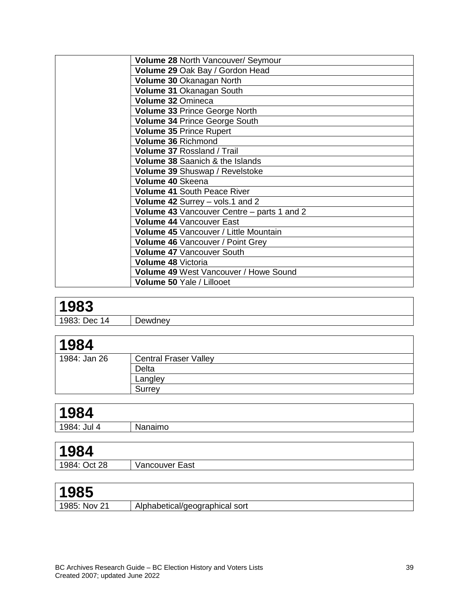| Volume 28 North Vancouver/ Seymour         |
|--------------------------------------------|
| Volume 29 Oak Bay / Gordon Head            |
| Volume 30 Okanagan North                   |
| Volume 31 Okanagan South                   |
| Volume 32 Omineca                          |
| Volume 33 Prince George North              |
| Volume 34 Prince George South              |
| <b>Volume 35 Prince Rupert</b>             |
| Volume 36 Richmond                         |
| Volume 37 Rossland / Trail                 |
| Volume 38 Saanich & the Islands            |
| Volume 39 Shuswap / Revelstoke             |
| Volume 40 Skeena                           |
| <b>Volume 41 South Peace River</b>         |
| Volume 42 Surrey $-$ vols.1 and 2          |
| Volume 43 Vancouver Centre - parts 1 and 2 |
| Volume 44 Vancouver East                   |
| Volume 45 Vancouver / Little Mountain      |
| <b>Volume 46</b> Vancouver / Point Grey    |
| <b>Volume 47 Vancouver South</b>           |
| <b>Volume 48 Victoria</b>                  |
| Volume 49 West Vancouver / Howe Sound      |
| <b>Volume 50 Yale / Lillooet</b>           |

1983: Dec 14 Dewdney

| 1 J J T      |                              |
|--------------|------------------------------|
| 1984: Jan 26 | <b>Central Fraser Valley</b> |
|              | Delta                        |
|              | Langley                      |
|              | Surrey                       |

| .            |             |
|--------------|-------------|
| Jul 4<br>. . | naimo<br>1. |
|              |             |

| 1984         |                |  |
|--------------|----------------|--|
| 1984: Oct 28 | Vancouver East |  |
|              |                |  |

| 1985         |                                |
|--------------|--------------------------------|
| 1985: Nov 21 | Alphabetical/geographical sort |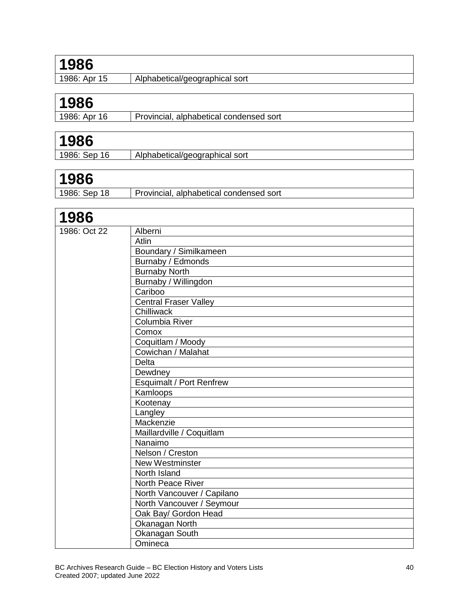| 1986         |                                         |
|--------------|-----------------------------------------|
| 1986: Apr 15 | Alphabetical/geographical sort          |
|              |                                         |
| 1986         |                                         |
| 1986: Apr 16 | Provincial, alphabetical condensed sort |
|              |                                         |
| 1986         |                                         |
| 1986: Sep 16 | Alphabetical/geographical sort          |
|              |                                         |
| 100C         |                                         |

**1986**<br>1986: Sep 18 Provincial, alphabetical condensed sort

| ---          |                                 |
|--------------|---------------------------------|
| 1986: Oct 22 | Alberni                         |
|              | Atlin                           |
|              | Boundary / Similkameen          |
|              | Burnaby / Edmonds               |
|              | <b>Burnaby North</b>            |
|              | Burnaby / Willingdon            |
|              | Cariboo                         |
|              | <b>Central Fraser Valley</b>    |
|              | Chilliwack                      |
|              | Columbia River                  |
|              | Comox                           |
|              | Coquitlam / Moody               |
|              | Cowichan / Malahat              |
|              | <b>Delta</b>                    |
|              | Dewdney                         |
|              | <b>Esquimalt / Port Renfrew</b> |
|              | Kamloops                        |
|              | Kootenay                        |
|              | Langley                         |
|              | Mackenzie                       |
|              | Maillardville / Coquitlam       |
|              | Nanaimo                         |
|              | Nelson / Creston                |
|              | <b>New Westminster</b>          |
|              | North Island                    |
|              | North Peace River               |
|              | North Vancouver / Capilano      |
|              | North Vancouver / Seymour       |
|              | Oak Bay/ Gordon Head            |
|              | Okanagan North                  |
|              | Okanagan South                  |
|              | Omineca                         |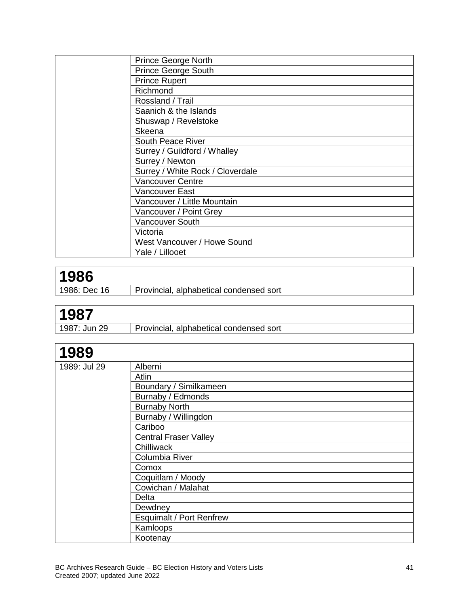| <b>Prince George North</b>       |
|----------------------------------|
| <b>Prince George South</b>       |
| <b>Prince Rupert</b>             |
| <b>Richmond</b>                  |
| Rossland / Trail                 |
| Saanich & the Islands            |
| Shuswap / Revelstoke             |
| Skeena                           |
| South Peace River                |
| Surrey / Guildford / Whalley     |
| Surrey / Newton                  |
| Surrey / White Rock / Cloverdale |
| <b>Vancouver Centre</b>          |
| Vancouver East                   |
| Vancouver / Little Mountain      |
| Vancouver / Point Grey           |
| Vancouver South                  |
| Victoria                         |
| West Vancouver / Howe Sound      |
| Yale / Lillooet                  |

# **1986**<br><sup>1986: Dec 16</sup>

Provincial, alphabetical condensed sort

# **1987**<br>1987: Jun 29

Provincial, alphabetical condensed sort

| 1989: Jul 29 | Alberni                         |
|--------------|---------------------------------|
|              | Atlin                           |
|              | Boundary / Similkameen          |
|              | Burnaby / Edmonds               |
|              | <b>Burnaby North</b>            |
|              | Burnaby / Willingdon            |
|              | Cariboo                         |
|              | <b>Central Fraser Valley</b>    |
|              | Chilliwack                      |
|              | Columbia River                  |
|              | Comox                           |
|              | Coquitlam / Moody               |
|              | Cowichan / Malahat              |
|              | Delta                           |
|              | Dewdney                         |
|              | <b>Esquimalt / Port Renfrew</b> |
|              | Kamloops                        |
|              | Kootenay                        |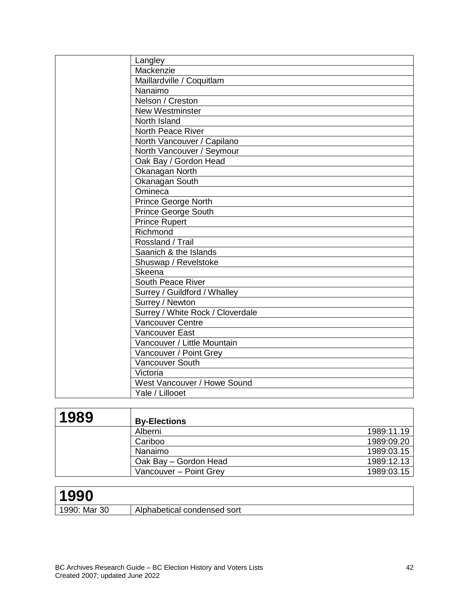| Langley                          |
|----------------------------------|
| Mackenzie                        |
| Maillardville / Coquitlam        |
| Nanaimo                          |
| Nelson / Creston                 |
| <b>New Westminster</b>           |
| North Island                     |
| <b>North Peace River</b>         |
| North Vancouver / Capilano       |
| North Vancouver / Seymour        |
| Oak Bay / Gordon Head            |
| Okanagan North                   |
| Okanagan South                   |
| Omineca                          |
| <b>Prince George North</b>       |
| <b>Prince George South</b>       |
| <b>Prince Rupert</b>             |
| Richmond                         |
| Rossland / Trail                 |
| Saanich & the Islands            |
| Shuswap / Revelstoke             |
| <b>Skeena</b>                    |
| South Peace River                |
| Surrey / Guildford / Whalley     |
| Surrey / Newton                  |
| Surrey / White Rock / Cloverdale |
| <b>Vancouver Centre</b>          |
| <b>Vancouver East</b>            |
| Vancouver / Little Mountain      |
| Vancouver / Point Grey           |
| Vancouver South                  |
| Victoria                         |
| West Vancouver / Howe Sound      |
| Yale / Lillooet                  |

| 1989 | <b>By-Elections</b>    |            |
|------|------------------------|------------|
|      | Alberni                | 1989:11.19 |
|      | Cariboo                | 1989:09.20 |
|      | Nanaimo                | 1989:03.15 |
|      | Oak Bay - Gordon Head  | 1989:12.13 |
|      | Vancouver - Point Grey | 1989:03.15 |

| 1990         |                             |
|--------------|-----------------------------|
| 1990: Mar 30 | Alphabetical condensed sort |
|              |                             |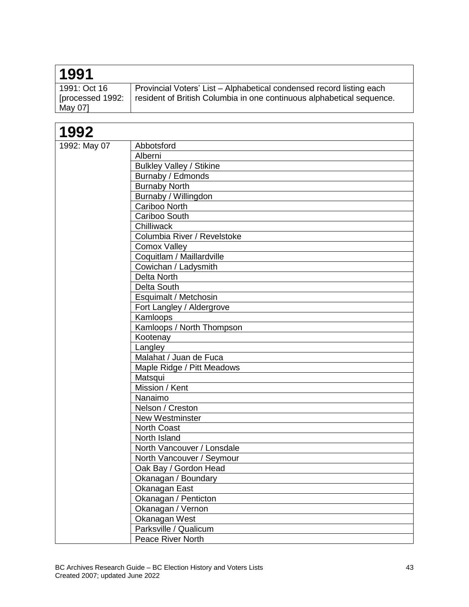| 1991                                        |                                                                                                                                               |
|---------------------------------------------|-----------------------------------------------------------------------------------------------------------------------------------------------|
| 1991: Oct 16<br>[processed 1992:<br>May 07] | Provincial Voters' List - Alphabetical condensed record listing each<br>resident of British Columbia in one continuous alphabetical sequence. |
|                                             |                                                                                                                                               |
| 1992                                        |                                                                                                                                               |
| 1992: May 07                                | Abbotsford                                                                                                                                    |
|                                             | Alberni                                                                                                                                       |
|                                             | <b>Bulkley Valley / Stikine</b>                                                                                                               |
|                                             | Burnaby / Edmonds                                                                                                                             |
|                                             | <b>Burnaby North</b>                                                                                                                          |
|                                             | Burnaby / Willingdon<br>Cariboo North                                                                                                         |
|                                             | Cariboo South                                                                                                                                 |
|                                             | Chilliwack                                                                                                                                    |
|                                             | Columbia River / Revelstoke                                                                                                                   |
|                                             | <b>Comox Valley</b>                                                                                                                           |
|                                             | Coquitlam / Maillardville                                                                                                                     |
|                                             | Cowichan / Ladysmith                                                                                                                          |
|                                             | Delta North                                                                                                                                   |
|                                             | Delta South                                                                                                                                   |
|                                             | Esquimalt / Metchosin                                                                                                                         |
|                                             | Fort Langley / Aldergrove                                                                                                                     |
|                                             | Kamloops                                                                                                                                      |
|                                             | Kamloops / North Thompson                                                                                                                     |
|                                             | Kootenay<br>Langley                                                                                                                           |
|                                             | Malahat / Juan de Fuca                                                                                                                        |
|                                             | Maple Ridge / Pitt Meadows                                                                                                                    |
|                                             | Matsqui                                                                                                                                       |
|                                             | Mission / Kent                                                                                                                                |
|                                             | Nanaimo                                                                                                                                       |
|                                             | Nelson / Creston                                                                                                                              |
|                                             | New Westminster                                                                                                                               |
|                                             | <b>North Coast</b>                                                                                                                            |
|                                             | North Island                                                                                                                                  |
|                                             | North Vancouver / Lonsdale                                                                                                                    |
|                                             | North Vancouver / Seymour                                                                                                                     |
|                                             | Oak Bay / Gordon Head                                                                                                                         |
|                                             | Okanagan / Boundary                                                                                                                           |
|                                             | Okanagan East                                                                                                                                 |
|                                             | Okanagan / Penticton<br>Okanagan / Vernon                                                                                                     |
|                                             | Okanagan West                                                                                                                                 |
|                                             | Parksville / Qualicum                                                                                                                         |
|                                             | <b>Peace River North</b>                                                                                                                      |
|                                             |                                                                                                                                               |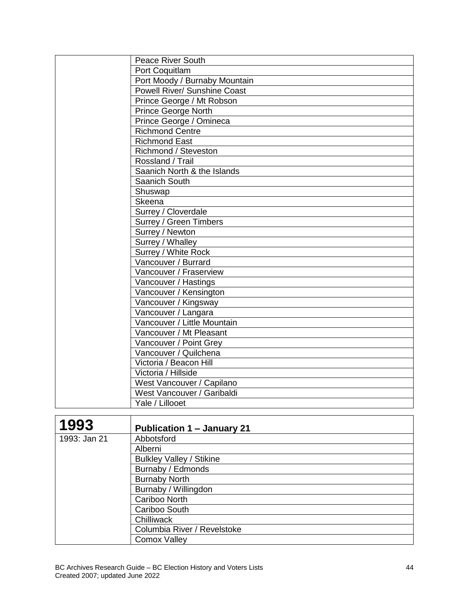| <b>Peace River South</b>            |
|-------------------------------------|
| Port Coquitlam                      |
| Port Moody / Burnaby Mountain       |
| <b>Powell River/ Sunshine Coast</b> |
| Prince George / Mt Robson           |
| <b>Prince George North</b>          |
| Prince George / Omineca             |
| <b>Richmond Centre</b>              |
| <b>Richmond East</b>                |
| Richmond / Steveston                |
| Rossland / Trail                    |
| Saanich North & the Islands         |
| Saanich South                       |
| Shuswap                             |
| Skeena                              |
| Surrey / Cloverdale                 |
| Surrey / Green Timbers              |
| Surrey / Newton                     |
| Surrey / Whalley                    |
| Surrey / White Rock                 |
| Vancouver / Burrard                 |
| Vancouver / Fraserview              |
| Vancouver / Hastings                |
| Vancouver / Kensington              |
| Vancouver / Kingsway                |
| Vancouver / Langara                 |
| Vancouver / Little Mountain         |
| Vancouver / Mt Pleasant             |
| Vancouver / Point Grey              |
| Vancouver / Quilchena               |
| Victoria / Beacon Hill              |
| Victoria / Hillside                 |
| West Vancouver / Capilano           |
| West Vancouver / Garibaldi          |
| Yale / Lillooet                     |

| 1993         | <b>Publication 1 – January 21</b> |
|--------------|-----------------------------------|
| 1993: Jan 21 | Abbotsford                        |
|              | Alberni                           |
|              | <b>Bulkley Valley / Stikine</b>   |
|              | Burnaby / Edmonds                 |
|              | <b>Burnaby North</b>              |
|              | Burnaby / Willingdon              |
|              | Cariboo North                     |
|              | Cariboo South                     |
|              | Chilliwack                        |
|              | Columbia River / Revelstoke       |
|              | Comox Valley                      |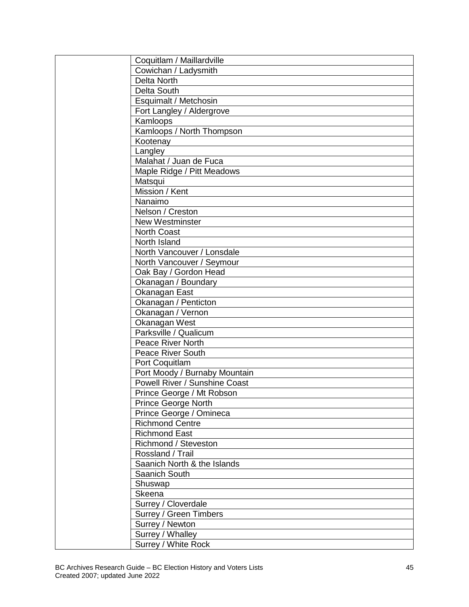| Coquitlam / Maillardville     |
|-------------------------------|
| Cowichan / Ladysmith          |
| Delta North                   |
| Delta South                   |
| Esquimalt / Metchosin         |
| Fort Langley / Aldergrove     |
| Kamloops                      |
| Kamloops / North Thompson     |
| Kootenay                      |
| Langley                       |
| Malahat / Juan de Fuca        |
| Maple Ridge / Pitt Meadows    |
| Matsqui                       |
| Mission / Kent                |
| Nanaimo                       |
| Nelson / Creston              |
| <b>New Westminster</b>        |
| <b>North Coast</b>            |
| North Island                  |
| North Vancouver / Lonsdale    |
| North Vancouver / Seymour     |
| Oak Bay / Gordon Head         |
| Okanagan / Boundary           |
| Okanagan East                 |
| Okanagan / Penticton          |
| Okanagan / Vernon             |
| Okanagan West                 |
| Parksville / Qualicum         |
| <b>Peace River North</b>      |
| Peace River South             |
| Port Coquitlam                |
| Port Moody / Burnaby Mountain |
| Powell River / Sunshine Coast |
| Prince George / Mt Robson     |
| Prince George North           |
| Prince George / Omineca       |
| <b>Richmond Centre</b>        |
| <b>Richmond East</b>          |
| Richmond / Steveston          |
| Rossland / Trail              |
| Saanich North & the Islands   |
| Saanich South                 |
| Shuswap                       |
| Skeena                        |
| Surrey / Cloverdale           |
| Surrey / Green Timbers        |
| Surrey / Newton               |
| Surrey / Whalley              |
| Surrey / White Rock           |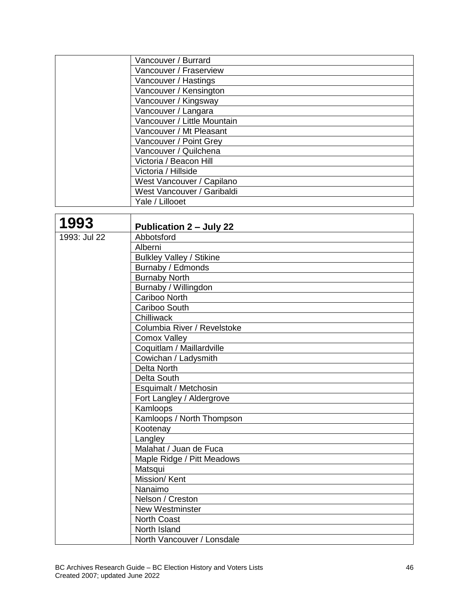| Vancouver / Burrard         |
|-----------------------------|
| Vancouver / Fraserview      |
| Vancouver / Hastings        |
| Vancouver / Kensington      |
| Vancouver / Kingsway        |
| Vancouver / Langara         |
| Vancouver / Little Mountain |
| Vancouver / Mt Pleasant     |
| Vancouver / Point Grey      |
| Vancouver / Quilchena       |
| Victoria / Beacon Hill      |
| Victoria / Hillside         |
| West Vancouver / Capilano   |
| West Vancouver / Garibaldi  |
| Yale / Lillooet             |

| 1993         | <b>Publication 2 - July 22</b>  |
|--------------|---------------------------------|
| 1993: Jul 22 | Abbotsford                      |
|              | Alberni                         |
|              | <b>Bulkley Valley / Stikine</b> |
|              | Burnaby / Edmonds               |
|              | <b>Burnaby North</b>            |
|              | Burnaby / Willingdon            |
|              | Cariboo North                   |
|              | Cariboo South                   |
|              | Chilliwack                      |
|              | Columbia River / Revelstoke     |
|              | <b>Comox Valley</b>             |
|              | Coquitlam / Maillardville       |
|              | Cowichan / Ladysmith            |
|              | Delta North                     |
|              | Delta South                     |
|              | Esquimalt / Metchosin           |
|              | Fort Langley / Aldergrove       |
|              | Kamloops                        |
|              | Kamloops / North Thompson       |
|              | Kootenay                        |
|              | Langley                         |
|              | Malahat / Juan de Fuca          |
|              | Maple Ridge / Pitt Meadows      |
|              | Matsqui                         |
|              | Mission/Kent                    |
|              | Nanaimo                         |
|              | Nelson / Creston                |
|              | <b>New Westminster</b>          |
|              | <b>North Coast</b>              |
|              | North Island                    |
|              | North Vancouver / Lonsdale      |